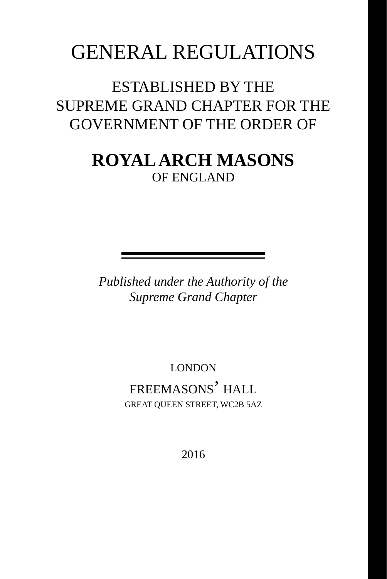# GENERAL REGULATIONS

ESTABLISHED BY THE SUPREME GRAND CHAPTER FOR THE GOVERNMENT OF THE ORDER OF

# **ROYAL ARCH MASONS** OF ENGLAND

*Published under the Authority of the Supreme Grand Chapter*

> LONDON FREEMASONS' HALL GREAT QUEEN STREET, WC2B 5AZ

> > 2016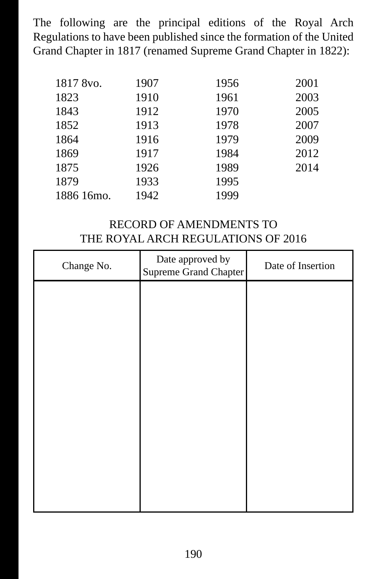The following are the principal editions of the Royal Arch Regulations to have been published since the formation of the United Grand Chapter in 1817 (renamed Supreme Grand Chapter in 1822):

| 1817 8vo.  | 1907 | 1956 | 2001 |
|------------|------|------|------|
| 1823       | 1910 | 1961 | 2003 |
| 1843       | 1912 | 1970 | 2005 |
| 1852       | 1913 | 1978 | 2007 |
| 1864       | 1916 | 1979 | 2009 |
| 1869       | 1917 | 1984 | 2012 |
| 1875       | 1926 | 1989 | 2014 |
| 1879       | 1933 | 1995 |      |
| 1886 16mo. | 1942 | 1999 |      |

# RECORD OF AMENDMENTS TO THE ROYAL ARCH REGULATIONS OF 2016

| Change No. | Date approved by<br>Supreme Grand Chapter | Date of Insertion |
|------------|-------------------------------------------|-------------------|
|            |                                           |                   |
|            |                                           |                   |
|            |                                           |                   |
|            |                                           |                   |
|            |                                           |                   |
|            |                                           |                   |
|            |                                           |                   |
|            |                                           |                   |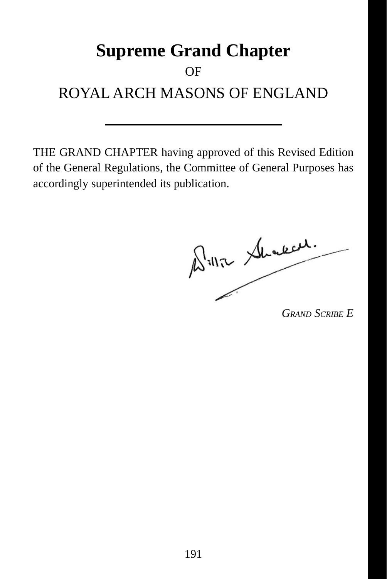# **Supreme Grand Chapter** OF ROYAL ARCH MASONS OF ENGLAND

 THE GRAND CHAPTER having approved of this Revised Edition of the General Regulations, the Committee of General Purposes has accordingly superintended its publication.

Bille Shaked.

*GRAND SCRIBE E*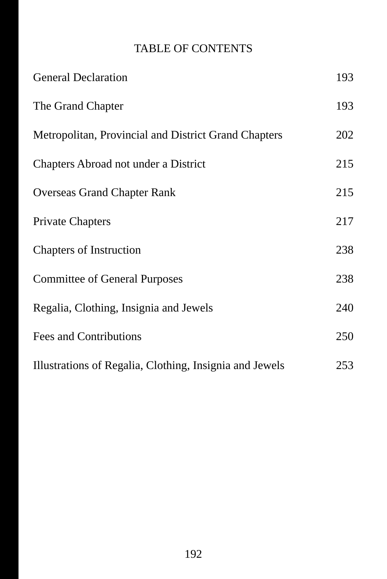# TABLE OF CONTENTS

| <b>General Declaration</b>                              | 193 |
|---------------------------------------------------------|-----|
| The Grand Chapter                                       | 193 |
| Metropolitan, Provincial and District Grand Chapters    | 202 |
| Chapters Abroad not under a District                    | 215 |
| <b>Overseas Grand Chapter Rank</b>                      | 215 |
| <b>Private Chapters</b>                                 | 217 |
| <b>Chapters of Instruction</b>                          | 238 |
| <b>Committee of General Purposes</b>                    | 238 |
| Regalia, Clothing, Insignia and Jewels                  | 240 |
| Fees and Contributions                                  | 250 |
| Illustrations of Regalia, Clothing, Insignia and Jewels | 253 |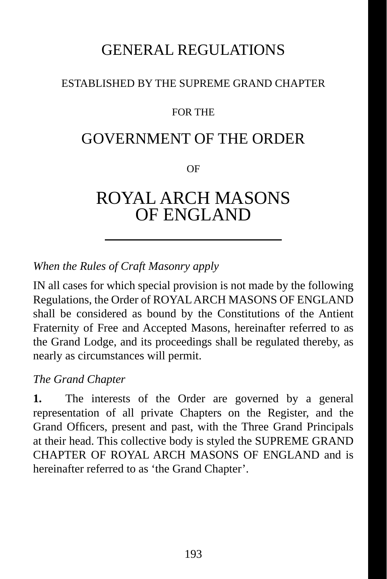# GENERAL REGULATIONS

#### ESTABLISHED BY THE SUPREME GRAND CHAPTER

#### FOR THE

# GOVERNMENT OF THE ORDER

OF

# ROYAL ARCH MASONS OF ENGLAND

#### *When the Rules of Craft Masonry apply*

 IN all cases for which special provision is not made by the following Regulations, the Order of ROYAL ARCH MASONS OF ENGLAND shall be considered as bound by the Constitutions of the Antient Fraternity of Free and Accepted Masons, hereinafter referred to as the Grand Lodge, and its proceedings shall be regulated thereby, as nearly as circumstances will permit.

#### *The Grand Chapter*

**1.** The interests of the Order are governed by a general representation of all private Chapters on the Register, and the Grand Officers, present and past, with the Three Grand Principals at their head. This collective body is styled the SUPREME GRAND CHAPTER OF ROYAL ARCH MASONS OF ENGLAND and is hereinafter referred to as 'the Grand Chapter'.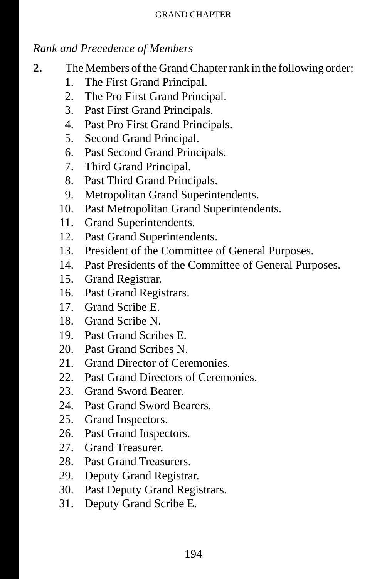# *Rank and Precedence of Members*

- **2.** The Members of the Grand Chapter rank in the following order:
	- 1. The First Grand Principal.
	- 2. The Pro First Grand Principal.
	- 3. Past First Grand Principals.
	- 4. Past Pro First Grand Principals.
	- 5. Second Grand Principal.
	- 6. Past Second Grand Principals.
	- 7. Third Grand Principal.
	- 8. Past Third Grand Principals.
	- 9. Metropolitan Grand Superintendents.
	- 10. Past Metropolitan Grand Superintendents.
	- 11. Grand Superintendents.
	- 12. Past Grand Superintendents.
	- 13. President of the Committee of General Purposes.
	- 14. Past Presidents of the Committee of General Purposes.
	- 15. Grand Registrar.
	- 16. Past Grand Registrars.
	- 17. Grand Scribe E.
	- 18. Grand Scribe N.
	- 19. Past Grand Scribes E.
	- 20. Past Grand Scribes N.
	- 21. Grand Director of Ceremonies.
	- 22. Past Grand Directors of Ceremonies.
	- 23. Grand Sword Bearer.
	- 24. Past Grand Sword Bearers.
	- 25. Grand Inspectors.
	- 26. Past Grand Inspectors.
	- 27. Grand Treasurer.
	- 28. Past Grand Treasurers.
	- 29. Deputy Grand Registrar.
	- 30. Past Deputy Grand Registrars.
	- 31. Deputy Grand Scribe E.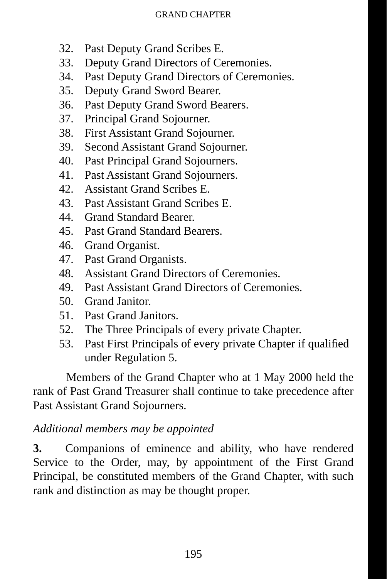- 32. Past Deputy Grand Scribes E.
- 33. Deputy Grand Directors of Ceremonies.
- 34. Past Deputy Grand Directors of Ceremonies.
- 35. Deputy Grand Sword Bearer.
- 36. Past Deputy Grand Sword Bearers.
- 37. Principal Grand Sojourner.
- 38. First Assistant Grand Sojourner.
- 39. Second Assistant Grand Sojourner.
- 40. Past Principal Grand Sojourners.
- 41. Past Assistant Grand Sojourners.
- 42. Assistant Grand Scribes E.
- 43. Past Assistant Grand Scribes E.
- 44. Grand Standard Bearer.
- 45. Past Grand Standard Bearers.
- 46. Grand Organist.
- 47. Past Grand Organists.
- 48. Assistant Grand Directors of Ceremonies.
- 49. Past Assistant Grand Directors of Ceremonies.
- 50. Grand Janitor.
- 51. Past Grand Janitors.
- 52. The Three Principals of every private Chapter.
- 53. Past First Principals of every private Chapter if qualified under Regulation 5.

Members of the Grand Chapter who at 1 May 2000 held the rank of Past Grand Treasurer shall continue to take precedence after Past Assistant Grand Sojourners.

### *Additional members may be appointed*

**3.** Companions of eminence and ability, who have rendered Service to the Order, may, by appointment of the First Grand Principal, be constituted members of the Grand Chapter, with such rank and distinction as may be thought proper.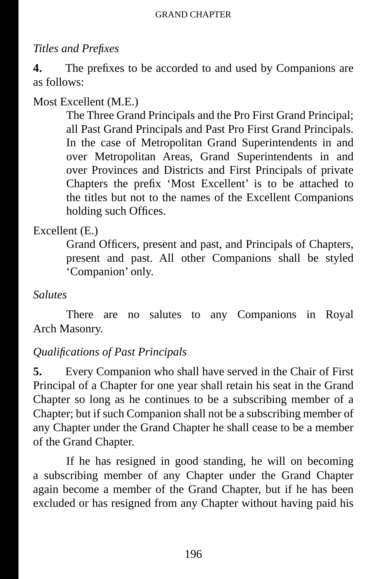# *Titles and Prefi xes*

**4.** The prefixes to be accorded to and used by Companions are as follows:

# Most Excellent (M.E.)

The Three Grand Principals and the Pro First Grand Principal; all Past Grand Principals and Past Pro First Grand Principals. In the case of Metropolitan Grand Superintendents in and over Metropolitan Areas, Grand Superintendents in and over Provinces and Districts and First Principals of private Chapters the prefix 'Most Excellent' is to be attached to the titles but not to the names of the Excellent Companions holding such Offices.

# Excellent (E.)

Grand Officers, present and past, and Principals of Chapters, present and past. All other Companions shall be styled 'Companion' only.

#### *Salutes*

There are no salutes to any Companions in Royal Arch Masonry.

### *Qualifi cations of Past Principals*

**5.** Every Companion who shall have served in the Chair of First Principal of a Chapter for one year shall retain his seat in the Grand Chapter so long as he continues to be a subscribing member of a Chapter; but if such Companion shall not be a subscribing member of any Chapter under the Grand Chapter he shall cease to be a member of the Grand Chapter.

If he has resigned in good standing, he will on becoming a subscribing member of any Chapter under the Grand Chapter again become a member of the Grand Chapter, but if he has been excluded or has resigned from any Chapter without having paid his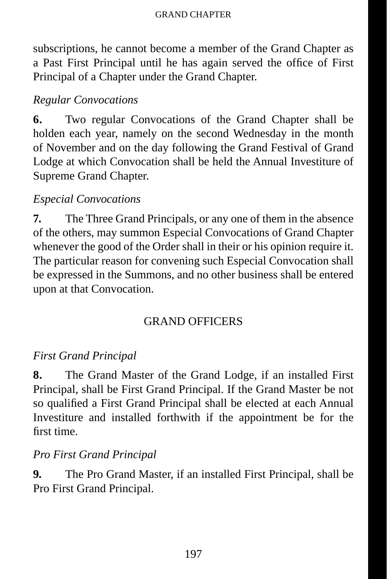subscriptions, he cannot become a member of the Grand Chapter as a Past First Principal until he has again served the office of First Principal of a Chapter under the Grand Chapter.

#### *Regular Convocations*

**6.** Two regular Convocations of the Grand Chapter shall be holden each year, namely on the second Wednesday in the month of November and on the day following the Grand Festival of Grand Lodge at which Convocation shall be held the Annual Investiture of Supreme Grand Chapter.

#### *Especial Convocations*

**7.** The Three Grand Principals, or any one of them in the absence of the others, may summon Especial Convocations of Grand Chapter whenever the good of the Order shall in their or his opinion require it. The particular reason for convening such Especial Convocation shall be expressed in the Summons, and no other business shall be entered upon at that Convocation.

### GRAND OFFICERS

### *First Grand Principal*

**8.** The Grand Master of the Grand Lodge, if an installed First Principal, shall be First Grand Principal. If the Grand Master be not so qualified a First Grand Principal shall be elected at each Annual Investiture and installed forthwith if the appointment be for the first time.

#### *Pro First Grand Principal*

**9.** The Pro Grand Master, if an installed First Principal, shall be Pro First Grand Principal.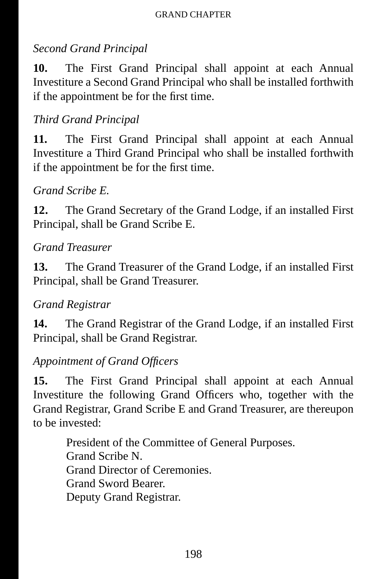### *Second Grand Principal*

**10.** The First Grand Principal shall appoint at each Annual Investiture a Second Grand Principal who shall be installed forthwith if the appointment be for the first time.

### *Third Grand Principal*

**11.** The First Grand Principal shall appoint at each Annual Investiture a Third Grand Principal who shall be installed forthwith if the appointment be for the first time.

#### *Grand Scribe E.*

**12.** The Grand Secretary of the Grand Lodge, if an installed First Principal, shall be Grand Scribe E.

#### *Grand Treasurer*

**13.** The Grand Treasurer of the Grand Lodge, if an installed First Principal, shall be Grand Treasurer.

#### *Grand Registrar*

**14.** The Grand Registrar of the Grand Lodge, if an installed First Principal, shall be Grand Registrar.

#### Appointment of Grand Officers

**15.** The First Grand Principal shall appoint at each Annual Investiture the following Grand Officers who, together with the Grand Registrar, Grand Scribe E and Grand Treasurer, are thereupon to be invested:

> President of the Committee of General Purposes. Grand Scribe N. Grand Director of Ceremonies. Grand Sword Bearer. Deputy Grand Registrar.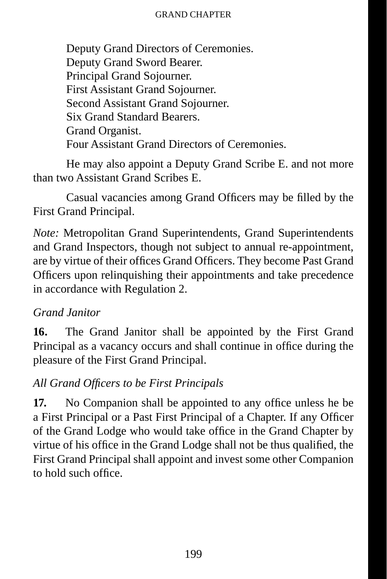Deputy Grand Directors of Ceremonies. Deputy Grand Sword Bearer. Principal Grand Sojourner. First Assistant Grand Sojourner. Second Assistant Grand Sojourner. Six Grand Standard Bearers. Grand Organist. Four Assistant Grand Directors of Ceremonies.

He may also appoint a Deputy Grand Scribe E. and not more than two Assistant Grand Scribes E.

Casual vacancies among Grand Officers may be filled by the First Grand Principal.

*Note:* Metropolitan Grand Superintendents, Grand Superintendents and Grand Inspectors, though not subject to annual re-appointment, are by virtue of their offices Grand Officers. They become Past Grand Officers upon relinquishing their appointments and take precedence in accordance with Regulation 2.

### *Grand Janitor*

**16.** The Grand Janitor shall be appointed by the First Grand Principal as a vacancy occurs and shall continue in office during the pleasure of the First Grand Principal.

### *All Grand Offi cers to be First Principals*

**17.** No Companion shall be appointed to any office unless he be a First Principal or a Past First Principal of a Chapter. If any Officer of the Grand Lodge who would take office in the Grand Chapter by virtue of his office in the Grand Lodge shall not be thus qualified, the First Grand Principal shall appoint and invest some other Companion to hold such office.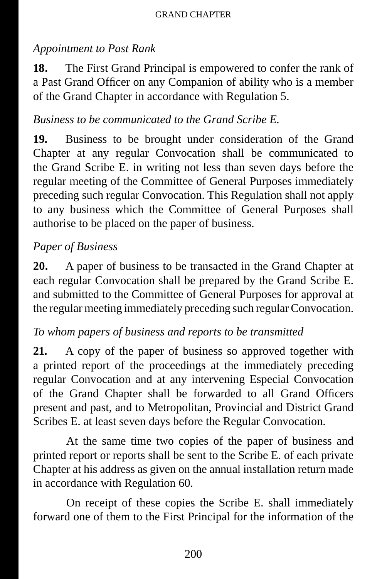### *Appointment to Past Rank*

**18.** The First Grand Principal is empowered to confer the rank of a Past Grand Officer on any Companion of ability who is a member of the Grand Chapter in accordance with Regulation 5.

#### *Business to be communicated to the Grand Scribe E.*

**19.** Business to be brought under consideration of the Grand Chapter at any regular Convocation shall be communicated to the Grand Scribe E. in writing not less than seven days before the regular meeting of the Committee of General Purposes immediately preceding such regular Convocation. This Regulation shall not apply to any business which the Committee of General Purposes shall authorise to be placed on the paper of business.

### *Paper of Business*

**20.** A paper of business to be transacted in the Grand Chapter at each regular Convocation shall be prepared by the Grand Scribe E. and submitted to the Committee of General Purposes for approval at the regular meeting immediately preceding such regular Convocation.

### *To whom papers of business and reports to be transmitted*

**21.** A copy of the paper of business so approved together with a printed report of the proceedings at the immediately preceding regular Convocation and at any intervening Especial Convocation of the Grand Chapter shall be forwarded to all Grand Officers present and past, and to Metropolitan, Provincial and District Grand Scribes E. at least seven days before the Regular Convocation.

At the same time two copies of the paper of business and printed report or reports shall be sent to the Scribe E. of each private Chapter at his address as given on the annual installation return made in accordance with Regulation 60.

On receipt of these copies the Scribe E. shall immediately forward one of them to the First Principal for the information of the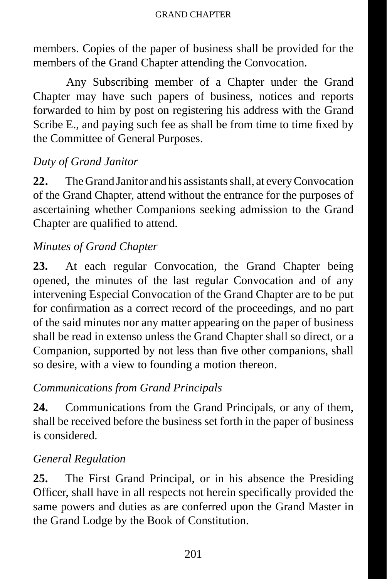members. Copies of the paper of business shall be provided for the members of the Grand Chapter attending the Convocation.

Any Subscribing member of a Chapter under the Grand Chapter may have such papers of business, notices and reports forwarded to him by post on registering his address with the Grand Scribe E., and paying such fee as shall be from time to time fixed by the Committee of General Purposes.

### *Duty of Grand Janitor*

**22.** The Grand Janitor and his assistants shall, at every Convocation of the Grand Chapter, attend without the entrance for the purposes of ascertaining whether Companions seeking admission to the Grand Chapter are qualified to attend.

### *Minutes of Grand Chapter*

23. At each regular Convocation, the Grand Chapter being opened, the minutes of the last regular Convocation and of any intervening Especial Convocation of the Grand Chapter are to be put for confirmation as a correct record of the proceedings, and no part of the said minutes nor any matter appearing on the paper of business shall be read in extenso unless the Grand Chapter shall so direct, or a Companion, supported by not less than five other companions, shall so desire, with a view to founding a motion thereon.

# *Communications from Grand Principals*

**24.** Communications from the Grand Principals, or any of them, shall be received before the business set forth in the paper of business is considered.

# *General Regulation*

**25.** The First Grand Principal, or in his absence the Presiding Officer, shall have in all respects not herein specifically provided the same powers and duties as are conferred upon the Grand Master in the Grand Lodge by the Book of Constitution.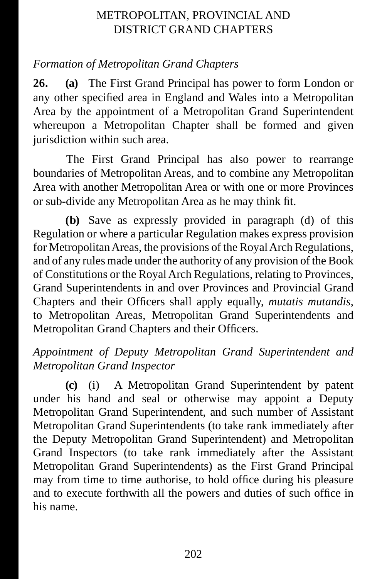# METROPOLITAN, PROVINCIAL AND DISTRICT GRAND CHAPTERS

# *Formation of Metropolitan Grand Chapters*

**26. (a)** The First Grand Principal has power to form London or any other specified area in England and Wales into a Metropolitan Area by the appointment of a Metropolitan Grand Superintendent whereupon a Metropolitan Chapter shall be formed and given jurisdiction within such area.

The First Grand Principal has also power to rearrange boundaries of Metropolitan Areas, and to combine any Metropolitan Area with another Metropolitan Area or with one or more Provinces or sub-divide any Metropolitan Area as he may think fit.

**(b)** Save as expressly provided in paragraph (d) of this Regulation or where a particular Regulation makes express provision for Metropolitan Areas, the provisions of the Royal Arch Regulations, and of any rules made under the authority of any provision of the Book of Constitutions or the Royal Arch Regulations, relating to Provinces, Grand Superintendents in and over Provinces and Provincial Grand Chapters and their Officers shall apply equally, *mutatis mutandis*, to Metropolitan Areas, Metropolitan Grand Superintendents and Metropolitan Grand Chapters and their Officers.

### *Appointment of Deputy Metropolitan Grand Superintendent and Metropolitan Grand Inspector*

**(c)** (i) A Metropolitan Grand Superintendent by patent under his hand and seal or otherwise may appoint a Deputy Metropolitan Grand Superintendent, and such number of Assistant Metropolitan Grand Superintendents (to take rank immediately after the Deputy Metropolitan Grand Superintendent) and Metropolitan Grand Inspectors (to take rank immediately after the Assistant Metropolitan Grand Superintendents) as the First Grand Principal may from time to time authorise, to hold office during his pleasure and to execute forthwith all the powers and duties of such office in his name.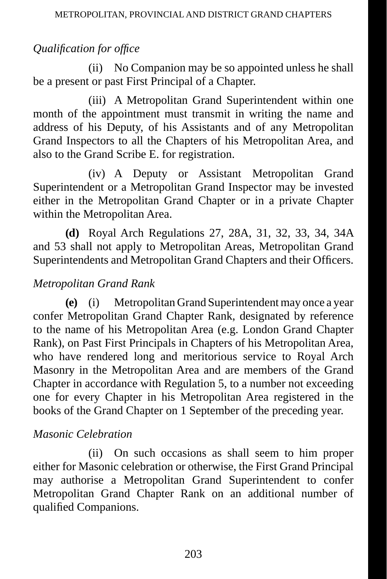# *<u>Qualification for office</u>*

(ii) No Companion may be so appointed unless he shall be a present or past First Principal of a Chapter.

(iii) A Metropolitan Grand Superintendent within one month of the appointment must transmit in writing the name and address of his Deputy, of his Assistants and of any Metropolitan Grand Inspectors to all the Chapters of his Metropolitan Area, and also to the Grand Scribe E. for registration.

(iv) A Deputy or Assistant Metropolitan Grand Superintendent or a Metropolitan Grand Inspector may be invested either in the Metropolitan Grand Chapter or in a private Chapter within the Metropolitan Area.

**(d)** Royal Arch Regulations 27, 28A, 31, 32, 33, 34, 34A and 53 shall not apply to Metropolitan Areas, Metropolitan Grand Superintendents and Metropolitan Grand Chapters and their Officers.

# *Metropolitan Grand Rank*

**(e)** (i) Metropolitan Grand Superintendent may once a year confer Metropolitan Grand Chapter Rank, designated by reference to the name of his Metropolitan Area (e.g. London Grand Chapter Rank), on Past First Principals in Chapters of his Metropolitan Area, who have rendered long and meritorious service to Royal Arch Masonry in the Metropolitan Area and are members of the Grand Chapter in accordance with Regulation 5, to a number not exceeding one for every Chapter in his Metropolitan Area registered in the books of the Grand Chapter on 1 September of the preceding year.

### *Masonic Celebration*

(ii) On such occasions as shall seem to him proper either for Masonic celebration or otherwise, the First Grand Principal may authorise a Metropolitan Grand Superintendent to confer Metropolitan Grand Chapter Rank on an additional number of qualified Companions.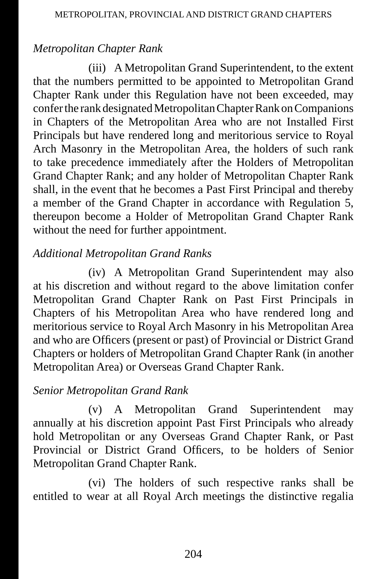# *Metropolitan Chapter Rank*

(iii) A Metropolitan Grand Superintendent, to the extent that the numbers permitted to be appointed to Metropolitan Grand Chapter Rank under this Regulation have not been exceeded, may confer the rank designated Metropolitan Chapter Rank on Companions in Chapters of the Metropolitan Area who are not Installed First Principals but have rendered long and meritorious service to Royal Arch Masonry in the Metropolitan Area, the holders of such rank to take precedence immediately after the Holders of Metropolitan Grand Chapter Rank; and any holder of Metropolitan Chapter Rank shall, in the event that he becomes a Past First Principal and thereby a member of the Grand Chapter in accordance with Regulation 5, thereupon become a Holder of Metropolitan Grand Chapter Rank without the need for further appointment.

# *Additional Metropolitan Grand Ranks*

(iv) A Metropolitan Grand Superintendent may also at his discretion and without regard to the above limitation confer Metropolitan Grand Chapter Rank on Past First Principals in Chapters of his Metropolitan Area who have rendered long and meritorious service to Royal Arch Masonry in his Metropolitan Area and who are Officers (present or past) of Provincial or District Grand Chapters or holders of Metropolitan Grand Chapter Rank (in another Metropolitan Area) or Overseas Grand Chapter Rank.

# *Senior Metropolitan Grand Rank*

(v) A Metropolitan Grand Superintendent may annually at his discretion appoint Past First Principals who already hold Metropolitan or any Overseas Grand Chapter Rank, or Past Provincial or District Grand Officers, to be holders of Senior Metropolitan Grand Chapter Rank.

(vi) The holders of such respective ranks shall be entitled to wear at all Royal Arch meetings the distinctive regalia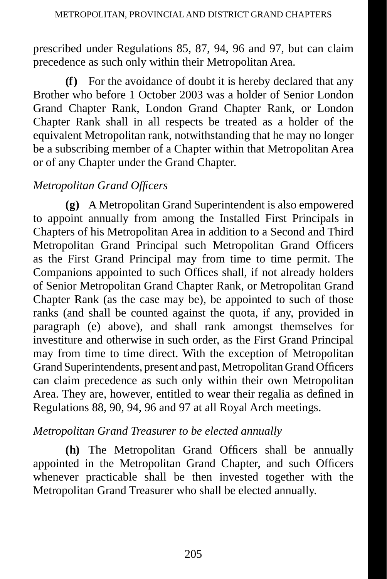prescribed under Regulations 85, 87, 94, 96 and 97, but can claim precedence as such only within their Metropolitan Area.

**(f)** For the avoidance of doubt it is hereby declared that any Brother who before 1 October 2003 was a holder of Senior London Grand Chapter Rank, London Grand Chapter Rank, or London Chapter Rank shall in all respects be treated as a holder of the equivalent Metropolitan rank, notwithstanding that he may no longer be a subscribing member of a Chapter within that Metropolitan Area or of any Chapter under the Grand Chapter.

# *Metropolitan Grand Officers*

**(g)** A Metropolitan Grand Superintendent is also empowered to appoint annually from among the Installed First Principals in Chapters of his Metropolitan Area in addition to a Second and Third Metropolitan Grand Principal such Metropolitan Grand Officers as the First Grand Principal may from time to time permit. The Companions appointed to such Offices shall, if not already holders of Senior Metropolitan Grand Chapter Rank, or Metropolitan Grand Chapter Rank (as the case may be), be appointed to such of those ranks (and shall be counted against the quota, if any, provided in paragraph (e) above), and shall rank amongst themselves for investiture and otherwise in such order, as the First Grand Principal may from time to time direct. With the exception of Metropolitan Grand Superintendents, present and past, Metropolitan Grand Officers can claim precedence as such only within their own Metropolitan Area. They are, however, entitled to wear their regalia as defined in Regulations 88, 90, 94, 96 and 97 at all Royal Arch meetings.

### *Metropolitan Grand Treasurer to be elected annually*

**(h)** The Metropolitan Grand Officers shall be annually appointed in the Metropolitan Grand Chapter, and such Officers whenever practicable shall be then invested together with the Metropolitan Grand Treasurer who shall be elected annually.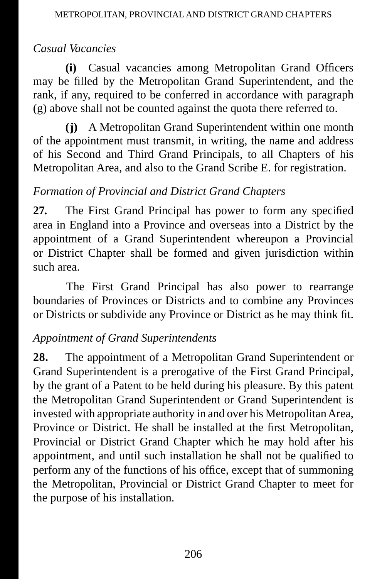# *Casual Vacancies*

**(i)** Casual vacancies among Metropolitan Grand Officers may be filled by the Metropolitan Grand Superintendent, and the rank, if any, required to be conferred in accordance with paragraph (g) above shall not be counted against the quota there referred to.

**(j)** A Metropolitan Grand Superintendent within one month of the appointment must transmit, in writing, the name and address of his Second and Third Grand Principals, to all Chapters of his Metropolitan Area, and also to the Grand Scribe E. for registration.

# *Formation of Provincial and District Grand Chapters*

**27.** The First Grand Principal has power to form any specified area in England into a Province and overseas into a District by the appointment of a Grand Superintendent whereupon a Provincial or District Chapter shall be formed and given jurisdiction within such area.

The First Grand Principal has also power to rearrange boundaries of Provinces or Districts and to combine any Provinces or Districts or subdivide any Province or District as he may think fit.

# *Appointment of Grand Superintendents*

28. The appointment of a Metropolitan Grand Superintendent or Grand Superintendent is a prerogative of the First Grand Principal, by the grant of a Patent to be held during his pleasure. By this patent the Metropolitan Grand Superintendent or Grand Superintendent is invested with appropriate authority in and over his Metropolitan Area, Province or District. He shall be installed at the first Metropolitan, Provincial or District Grand Chapter which he may hold after his appointment, and until such installation he shall not be qualified to perform any of the functions of his office, except that of summoning the Metropolitan, Provincial or District Grand Chapter to meet for the purpose of his installation.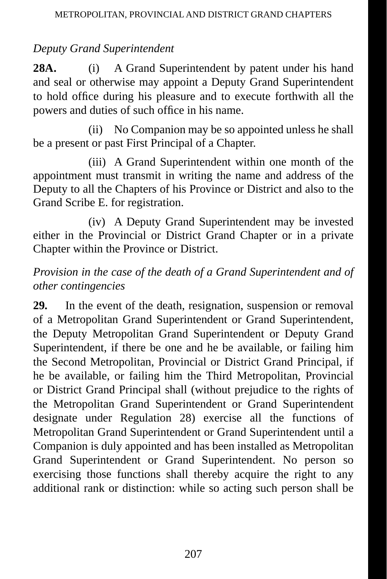# *Deputy Grand Superintendent*

**28A.** (i) A Grand Superintendent by patent under his hand and seal or otherwise may appoint a Deputy Grand Superintendent to hold office during his pleasure and to execute forthwith all the powers and duties of such office in his name.

(ii) No Companion may be so appointed unless he shall be a present or past First Principal of a Chapter.

(iii) A Grand Superintendent within one month of the appointment must transmit in writing the name and address of the Deputy to all the Chapters of his Province or District and also to the Grand Scribe E. for registration.

(iv) A Deputy Grand Superintendent may be invested either in the Provincial or District Grand Chapter or in a private Chapter within the Province or District.

# *Provision in the case of the death of a Grand Superintendent and of other contingencies*

**29.** In the event of the death, resignation, suspension or removal of a Metropolitan Grand Superintendent or Grand Superintendent, the Deputy Metropolitan Grand Superintendent or Deputy Grand Superintendent, if there be one and he be available, or failing him the Second Metropolitan, Provincial or District Grand Principal, if he be available, or failing him the Third Metropolitan, Provincial or District Grand Principal shall (without prejudice to the rights of the Metropolitan Grand Superintendent or Grand Superintendent designate under Regulation 28) exercise all the functions of Metropolitan Grand Superintendent or Grand Superintendent until a Companion is duly appointed and has been installed as Metropolitan Grand Superintendent or Grand Superintendent. No person so exercising those functions shall thereby acquire the right to any additional rank or distinction: while so acting such person shall be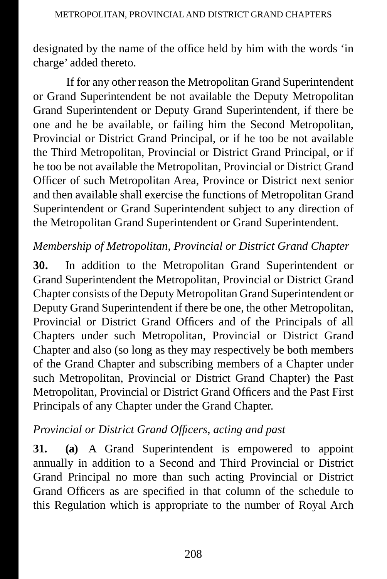designated by the name of the office held by him with the words 'in charge' added thereto.

If for any other reason the Metropolitan Grand Superintendent or Grand Superintendent be not available the Deputy Metropolitan Grand Superintendent or Deputy Grand Superintendent, if there be one and he be available, or failing him the Second Metropolitan, Provincial or District Grand Principal, or if he too be not available the Third Metropolitan, Provincial or District Grand Principal, or if he too be not available the Metropolitan, Provincial or District Grand Officer of such Metropolitan Area, Province or District next senior and then available shall exercise the functions of Metropolitan Grand Superintendent or Grand Superintendent subject to any direction of the Metropolitan Grand Superintendent or Grand Superintendent.

# *Membership of Metropolitan, Provincial or District Grand Chapter*

**30.** In addition to the Metropolitan Grand Superintendent or Grand Superintendent the Metropolitan, Provincial or District Grand Chapter consists of the Deputy Metropolitan Grand Superintendent or Deputy Grand Superintendent if there be one, the other Metropolitan, Provincial or District Grand Officers and of the Principals of all Chapters under such Metropolitan, Provincial or District Grand Chapter and also (so long as they may respectively be both members of the Grand Chapter and subscribing members of a Chapter under such Metropolitan, Provincial or District Grand Chapter) the Past Metropolitan, Provincial or District Grand Officers and the Past First Principals of any Chapter under the Grand Chapter.

# *Provincial or District Grand Officers, acting and past*

**31. (a)** A Grand Superintendent is empowered to appoint annually in addition to a Second and Third Provincial or District Grand Principal no more than such acting Provincial or District Grand Officers as are specified in that column of the schedule to this Regulation which is appropriate to the number of Royal Arch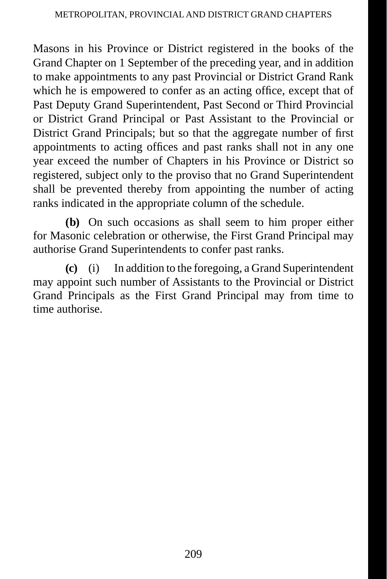Masons in his Province or District registered in the books of the Grand Chapter on 1 September of the preceding year, and in addition to make appointments to any past Provincial or District Grand Rank which he is empowered to confer as an acting office, except that of Past Deputy Grand Superintendent, Past Second or Third Provincial or District Grand Principal or Past Assistant to the Provincial or District Grand Principals; but so that the aggregate number of first appointments to acting offices and past ranks shall not in any one year exceed the number of Chapters in his Province or District so registered, subject only to the proviso that no Grand Superintendent shall be prevented thereby from appointing the number of acting ranks indicated in the appropriate column of the schedule.

**(b)** On such occasions as shall seem to him proper either for Masonic celebration or otherwise, the First Grand Principal may authorise Grand Superintendents to confer past ranks.

**(c)** (i) In addition to the foregoing, a Grand Superintendent may appoint such number of Assistants to the Provincial or District Grand Principals as the First Grand Principal may from time to time authorise.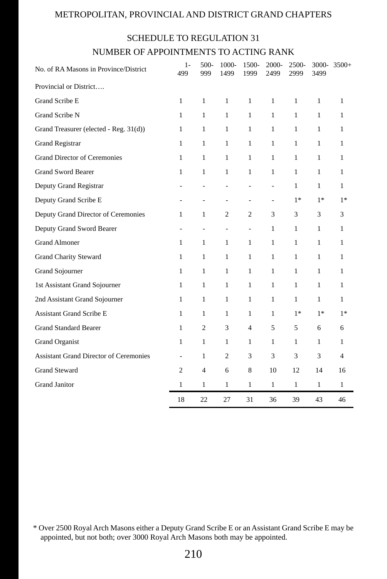#### METROPOLITAN, PROVINCIAL AND DISTRICT GRAND CHAPTERS

#### SCHEDULE TO REGULATION 31

#### NUMBER OF APPOINTMENTS TO ACTING RANK

| No. of RA Masons in Province/District         | $1-$<br>499                  | 500-<br>999              | 1000-<br>1499            | 1500-<br>1999            | 2000-<br>2499 | 2500-<br>2999 | 3499         | $3000 - 3500 +$ |
|-----------------------------------------------|------------------------------|--------------------------|--------------------------|--------------------------|---------------|---------------|--------------|-----------------|
| Provincial or District                        |                              |                          |                          |                          |               |               |              |                 |
| Grand Scribe E                                | 1                            | $\mathbf{1}$             | $\mathbf{1}$             | $\mathbf{1}$             | $\mathbf{1}$  | $\mathbf{1}$  | $\mathbf{1}$ | $\mathbf{1}$    |
| Grand Scribe N                                | $\mathbf{1}$                 | $\mathbf{1}$             | $\mathbf{1}$             | $\mathbf{1}$             | $\mathbf{1}$  | $\mathbf{1}$  | $\mathbf{1}$ | 1               |
| Grand Treasurer (elected - Reg. 31(d))        | 1                            | 1                        | $\mathbf{1}$             | 1                        | $\mathbf{1}$  | $\mathbf{1}$  | 1            | 1               |
| <b>Grand Registrar</b>                        | $\mathbf{1}$                 | 1                        | $\mathbf{1}$             | 1                        | 1             | $\mathbf{1}$  | $\mathbf{1}$ | 1               |
| <b>Grand Director of Ceremonies</b>           | 1                            | 1                        | $\mathbf{1}$             | 1                        | 1             | 1             | 1            | 1               |
| <b>Grand Sword Bearer</b>                     | 1                            | $\mathbf{1}$             | 1                        | 1                        | 1             | 1             | $\mathbf{1}$ | 1               |
| Deputy Grand Registrar                        |                              |                          |                          |                          |               | 1             | $\mathbf{1}$ | 1               |
| Deputy Grand Scribe E                         |                              |                          | L,                       | L,                       | $\bar{a}$     | $1*$          | $1*$         | $1*$            |
| Deputy Grand Director of Ceremonies           | 1                            | 1                        | 2                        | $\overline{2}$           | 3             | 3             | 3            | 3               |
| Deputy Grand Sword Bearer                     | $\qquad \qquad \blacksquare$ | $\overline{\phantom{a}}$ | $\overline{\phantom{a}}$ | $\overline{\phantom{a}}$ | $\mathbf{1}$  | 1             | $\mathbf{1}$ | $\mathbf{1}$    |
| <b>Grand Almoner</b>                          | 1                            | 1                        | $\mathbf{1}$             | 1                        | $\mathbf{1}$  | 1             | 1            | 1               |
| Grand Charity Steward                         | $\mathbf{1}$                 | $\mathbf{1}$             | $\mathbf{1}$             | $\mathbf{1}$             | $\mathbf{1}$  | $\mathbf{1}$  | $\mathbf{1}$ | 1               |
| Grand Sojourner                               | $\mathbf{1}$                 | $\mathbf{1}$             | $\mathbf{1}$             | 1                        | 1             | 1             | $\mathbf{1}$ | 1               |
| 1st Assistant Grand Sojourner                 | $\mathbf{1}$                 | $\mathbf{1}$             | $\mathbf{1}$             | $\mathbf{1}$             | $\mathbf{1}$  | 1             | $\mathbf{1}$ | $\mathbf{1}$    |
| 2nd Assistant Grand Sojourner                 | $\mathbf{1}$                 | 1                        | $\mathbf{1}$             | $\mathbf{1}$             | $\mathbf{1}$  | 1             | $\mathbf{1}$ | $\mathbf{1}$    |
| <b>Assistant Grand Scribe E</b>               | $\mathbf{1}$                 | $\mathbf{1}$             | $\mathbf{1}$             | $\mathbf{1}$             | $\mathbf{1}$  | $1*$          | $1*$         | $1*$            |
| <b>Grand Standard Bearer</b>                  | $\mathbf{1}$                 | $\overline{c}$           | 3                        | $\overline{4}$           | 5             | 5             | 6            | 6               |
| <b>Grand Organist</b>                         | 1                            | 1                        | $\mathbf{1}$             | $\mathbf{1}$             | $\mathbf{1}$  | 1             | 1            | 1               |
| <b>Assistant Grand Director of Ceremonies</b> | L.                           | 1                        | $\overline{c}$           | 3                        | 3             | 3             | 3            | $\overline{4}$  |
| <b>Grand Steward</b>                          | $\overline{c}$               | $\overline{4}$           | 6                        | 8                        | 10            | 12            | 14           | 16              |
| <b>Grand Janitor</b>                          | $\mathbf{1}$                 | $\mathbf{1}$             | $\mathbf{1}$             | $\mathbf{1}$             | $\mathbf{1}$  | $\mathbf{1}$  | $\mathbf{1}$ | 1               |
|                                               | 18                           | 22                       | 27                       | 31                       | 36            | 39            | 43           | 46              |

<sup>\*</sup> Over 2500 Royal Arch Masons either a Deputy Grand Scribe E or an Assistant Grand Scribe E may be appointed, but not both; over 3000 Royal Arch Masons both may be appointed.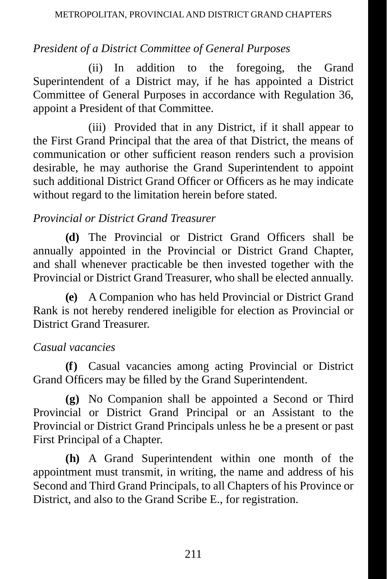# *President of a District Committee of General Purposes*

(ii) In addition to the foregoing, the Grand Superintendent of a District may, if he has appointed a District Committee of General Purposes in accordance with Regulation 36, appoint a President of that Committee.

(iii) Provided that in any District, if it shall appear to the First Grand Principal that the area of that District, the means of communication or other sufficient reason renders such a provision desirable, he may authorise the Grand Superintendent to appoint such additional District Grand Officer or Officers as he may indicate without regard to the limitation herein before stated.

### *Provincial or District Grand Treasurer*

**(d)** The Provincial or District Grand Officers shall be annually appointed in the Provincial or District Grand Chapter, and shall whenever practicable be then invested together with the Provincial or District Grand Treasurer, who shall be elected annually.

**(e)** A Companion who has held Provincial or District Grand Rank is not hereby rendered ineligible for election as Provincial or District Grand Treasurer.

### *Casual vacancies*

**(f)** Casual vacancies among acting Provincial or District Grand Officers may be filled by the Grand Superintendent.

**(g)** No Companion shall be appointed a Second or Third Provincial or District Grand Principal or an Assistant to the Provincial or District Grand Principals unless he be a present or past First Principal of a Chapter.

**(h)** A Grand Superintendent within one month of the appointment must transmit, in writing, the name and address of his Second and Third Grand Principals, to all Chapters of his Province or District, and also to the Grand Scribe E., for registration.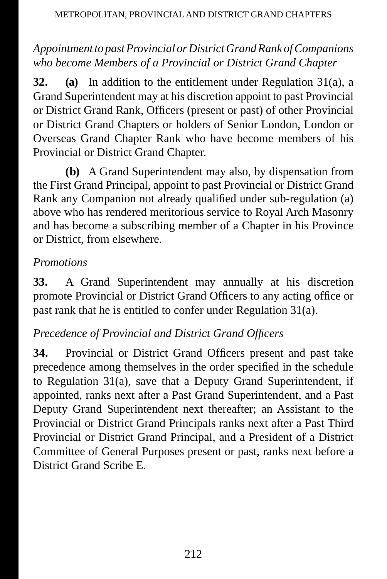# *Appointment to past Provincial or District Grand Rank of Companions who become Members of a Provincial or District Grand Chapter*

**32. (a)** In addition to the entitlement under Regulation 31(a), a Grand Superintendent may at his discretion appoint to past Provincial or District Grand Rank, Officers (present or past) of other Provincial or District Grand Chapters or holders of Senior London, London or Overseas Grand Chapter Rank who have become members of his Provincial or District Grand Chapter.

**(b)** A Grand Superintendent may also, by dispensation from the First Grand Principal, appoint to past Provincial or District Grand Rank any Companion not already qualified under sub-regulation (a) above who has rendered meritorious service to Royal Arch Masonry and has become a subscribing member of a Chapter in his Province or District, from elsewhere.

# *Promotions*

**33.** A Grand Superintendent may annually at his discretion promote Provincial or District Grand Officers to any acting office or past rank that he is entitled to confer under Regulation 31(a).

# *Precedence of Provincial and District Grand Officers*

**34.** Provincial or District Grand Officers present and past take precedence among themselves in the order specified in the schedule to Regulation 31(a), save that a Deputy Grand Superintendent, if appointed, ranks next after a Past Grand Superintendent, and a Past Deputy Grand Superintendent next thereafter; an Assistant to the Provincial or District Grand Principals ranks next after a Past Third Provincial or District Grand Principal, and a President of a District Committee of General Purposes present or past, ranks next before a District Grand Scribe E.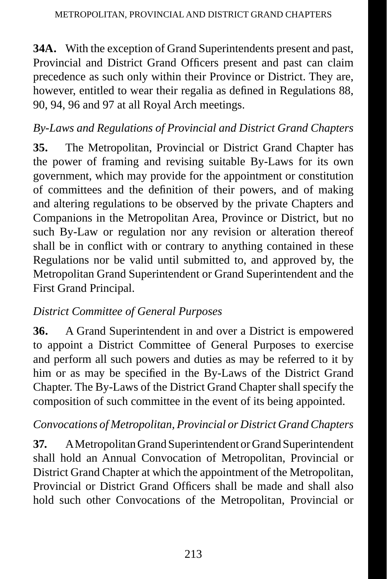**34A.** With the exception of Grand Superintendents present and past, Provincial and District Grand Officers present and past can claim precedence as such only within their Province or District. They are, however, entitled to wear their regalia as defined in Regulations 88, 90, 94, 96 and 97 at all Royal Arch meetings.

# *By-Laws and Regulations of Provincial and District Grand Chapters*

**35.** The Metropolitan, Provincial or District Grand Chapter has the power of framing and revising suitable By-Laws for its own government, which may provide for the appointment or constitution of committees and the definition of their powers, and of making and altering regulations to be observed by the private Chapters and Companions in the Metropolitan Area, Province or District, but no such By-Law or regulation nor any revision or alteration thereof shall be in conflict with or contrary to anything contained in these Regulations nor be valid until submitted to, and approved by, the Metropolitan Grand Superintendent or Grand Superintendent and the First Grand Principal.

# *District Committee of General Purposes*

**36.** A Grand Superintendent in and over a District is empowered to appoint a District Committee of General Purposes to exercise and perform all such powers and duties as may be referred to it by him or as may be specified in the By-Laws of the District Grand Chapter. The By-Laws of the District Grand Chapter shall specify the composition of such committee in the event of its being appointed.

### *Convocations of Metropolitan, Provincial or District Grand Chapters*

**37.** A Metropolitan Grand Superintendent or Grand Superintendent shall hold an Annual Convocation of Metropolitan, Provincial or District Grand Chapter at which the appointment of the Metropolitan, Provincial or District Grand Officers shall be made and shall also hold such other Convocations of the Metropolitan, Provincial or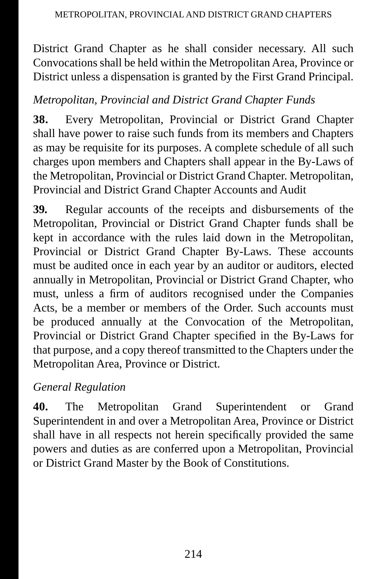District Grand Chapter as he shall consider necessary. All such Convocations shall be held within the Metropolitan Area, Province or District unless a dispensation is granted by the First Grand Principal.

# *Metropolitan, Provincial and District Grand Chapter Funds*

**38.** Every Metropolitan, Provincial or District Grand Chapter shall have power to raise such funds from its members and Chapters as may be requisite for its purposes. A complete schedule of all such charges upon members and Chapters shall appear in the By-Laws of the Metropolitan, Provincial or District Grand Chapter. Metropolitan, Provincial and District Grand Chapter Accounts and Audit

**39.** Regular accounts of the receipts and disbursements of the Metropolitan, Provincial or District Grand Chapter funds shall be kept in accordance with the rules laid down in the Metropolitan, Provincial or District Grand Chapter By-Laws. These accounts must be audited once in each year by an auditor or auditors, elected annually in Metropolitan, Provincial or District Grand Chapter, who must, unless a firm of auditors recognised under the Companies Acts, be a member or members of the Order. Such accounts must be produced annually at the Convocation of the Metropolitan, Provincial or District Grand Chapter specified in the By-Laws for that purpose, and a copy thereof transmitted to the Chapters under the Metropolitan Area, Province or District.

# *General Regulation*

**40.** The Metropolitan Grand Superintendent or Grand Superintendent in and over a Metropolitan Area, Province or District shall have in all respects not herein specifically provided the same powers and duties as are conferred upon a Metropolitan, Provincial or District Grand Master by the Book of Constitutions.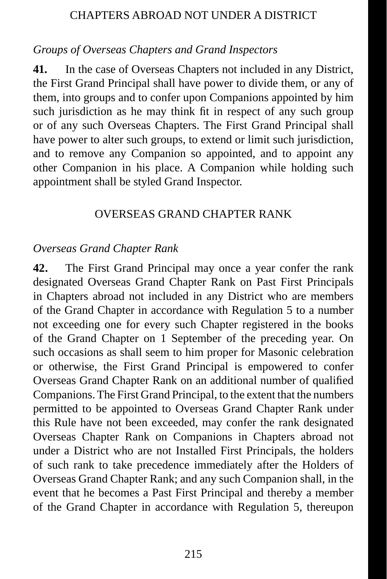#### CHAPTERS ABROAD NOT UNDER A DISTRICT

#### *Groups of Overseas Chapters and Grand Inspectors*

**41.** In the case of Overseas Chapters not included in any District, the First Grand Principal shall have power to divide them, or any of them, into groups and to confer upon Companions appointed by him such jurisdiction as he may think fit in respect of any such group or of any such Overseas Chapters. The First Grand Principal shall have power to alter such groups, to extend or limit such jurisdiction, and to remove any Companion so appointed, and to appoint any other Companion in his place. A Companion while holding such appointment shall be styled Grand Inspector.

#### OVERSEAS GRAND CHAPTER RANK

#### *Overseas Grand Chapter Rank*

**42.** The First Grand Principal may once a year confer the rank designated Overseas Grand Chapter Rank on Past First Principals in Chapters abroad not included in any District who are members of the Grand Chapter in accordance with Regulation 5 to a number not exceeding one for every such Chapter registered in the books of the Grand Chapter on 1 September of the preceding year. On such occasions as shall seem to him proper for Masonic celebration or otherwise, the First Grand Principal is empowered to confer Overseas Grand Chapter Rank on an additional number of qualified Companions. The First Grand Principal, to the extent that the numbers permitted to be appointed to Overseas Grand Chapter Rank under this Rule have not been exceeded, may confer the rank designated Overseas Chapter Rank on Companions in Chapters abroad not under a District who are not Installed First Principals, the holders of such rank to take precedence immediately after the Holders of Overseas Grand Chapter Rank; and any such Companion shall, in the event that he becomes a Past First Principal and thereby a member of the Grand Chapter in accordance with Regulation 5, thereupon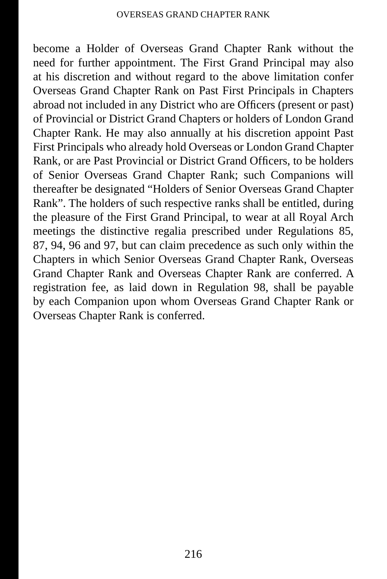become a Holder of Overseas Grand Chapter Rank without the need for further appointment. The First Grand Principal may also at his discretion and without regard to the above limitation confer Overseas Grand Chapter Rank on Past First Principals in Chapters abroad not included in any District who are Officers (present or past) of Provincial or District Grand Chapters or holders of London Grand Chapter Rank. He may also annually at his discretion appoint Past First Principals who already hold Overseas or London Grand Chapter Rank, or are Past Provincial or District Grand Officers, to be holders of Senior Overseas Grand Chapter Rank; such Companions will thereafter be designated "Holders of Senior Overseas Grand Chapter Rank". The holders of such respective ranks shall be entitled, during the pleasure of the First Grand Principal, to wear at all Royal Arch meetings the distinctive regalia prescribed under Regulations 85, 87, 94, 96 and 97, but can claim precedence as such only within the Chapters in which Senior Overseas Grand Chapter Rank, Overseas Grand Chapter Rank and Overseas Chapter Rank are conferred. A registration fee, as laid down in Regulation 98, shall be payable by each Companion upon whom Overseas Grand Chapter Rank or Overseas Chapter Rank is conferred.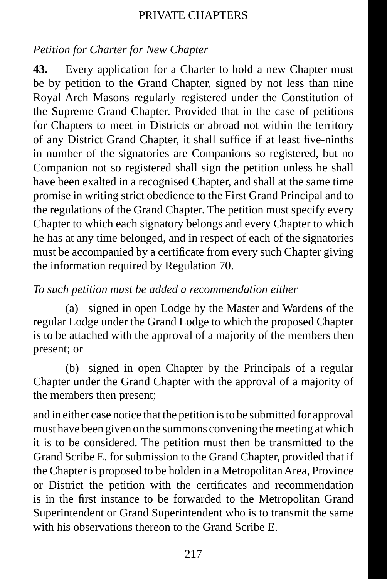#### *Petition for Charter for New Chapter*

**43.** Every application for a Charter to hold a new Chapter must be by petition to the Grand Chapter, signed by not less than nine Royal Arch Masons regularly registered under the Constitution of the Supreme Grand Chapter. Provided that in the case of petitions for Chapters to meet in Districts or abroad not within the territory of any District Grand Chapter, it shall suffice if at least five-ninths in number of the signatories are Companions so registered, but no Companion not so registered shall sign the petition unless he shall have been exalted in a recognised Chapter, and shall at the same time promise in writing strict obedience to the First Grand Principal and to the regulations of the Grand Chapter. The petition must specify every Chapter to which each signatory belongs and every Chapter to which he has at any time belonged, and in respect of each of the signatories must be accompanied by a certificate from every such Chapter giving the information required by Regulation 70.

#### *To such petition must be added a recommendation either*

(a) signed in open Lodge by the Master and Wardens of the regular Lodge under the Grand Lodge to which the proposed Chapter is to be attached with the approval of a majority of the members then present; or

(b) signed in open Chapter by the Principals of a regular Chapter under the Grand Chapter with the approval of a majority of the members then present;

and in either case notice that the petition is to be submitted for approval must have been given on the summons convening the meeting at which it is to be considered. The petition must then be transmitted to the Grand Scribe E. for submission to the Grand Chapter, provided that if the Chapter is proposed to be holden in a Metropolitan Area, Province or District the petition with the certificates and recommendation is in the first instance to be forwarded to the Metropolitan Grand Superintendent or Grand Superintendent who is to transmit the same with his observations thereon to the Grand Scribe E.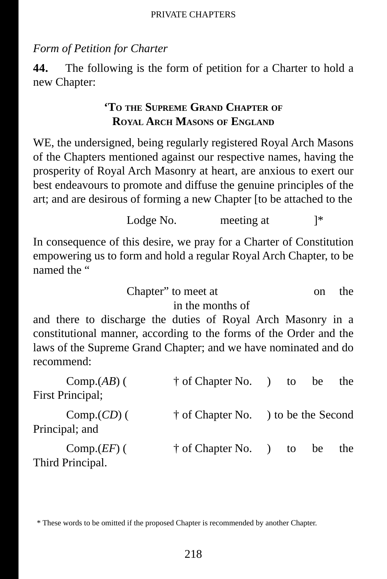#### *Form of Petition for Charter*

**44.** The following is the form of petition for a Charter to hold a new Chapter:

#### **'TO THE SUPREME GRAND CHAPTER OF ROYAL ARCH MASONS OF ENGLAND**

WE, the undersigned, being regularly registered Royal Arch Masons of the Chapters mentioned against our respective names, having the prosperity of Royal Arch Masonry at heart, are anxious to exert our best endeavours to promote and diffuse the genuine principles of the art; and are desirous of forming a new Chapter [to be attached to the

Lodge No. meeting at  $\uparrow^*$ 

In consequence of this desire, we pray for a Charter of Constitution empowering us to form and hold a regular Royal Arch Chapter, to be named the "

> Chapter" to meet at on the in the months of

and there to discharge the duties of Royal Arch Masonry in a constitutional manner, according to the forms of the Order and the laws of the Supreme Grand Chapter; and we have nominated and do recommend:

| $Comp.(AB)$ (                     | $\dagger$ of Chapter No. $\qquad$ to           |  | be | the |
|-----------------------------------|------------------------------------------------|--|----|-----|
| <b>First Principal</b> ;          |                                                |  |    |     |
| $Comp.(CD)$ (<br>Principal; and   | <sup>†</sup> of Chapter No. ) to be the Second |  |    |     |
| $Comp.EF$ ) (<br>Third Principal. | † of Chapter No. ) to be                       |  |    | the |

<sup>\*</sup> These words to be omitted if the proposed Chapter is recommended by another Chapter.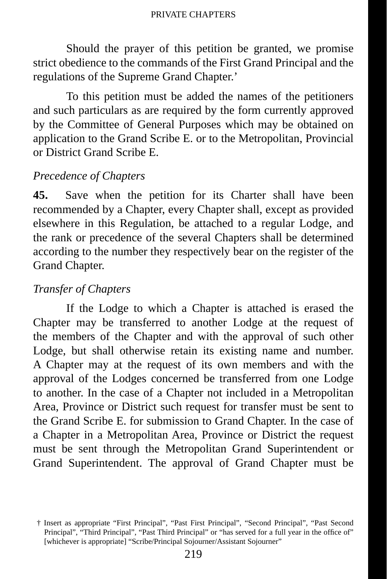Should the prayer of this petition be granted, we promise strict obedience to the commands of the First Grand Principal and the regulations of the Supreme Grand Chapter.'

To this petition must be added the names of the petitioners and such particulars as are required by the form currently approved by the Committee of General Purposes which may be obtained on application to the Grand Scribe E. or to the Metropolitan, Provincial or District Grand Scribe E.

#### *Precedence of Chapters*

**45.** Save when the petition for its Charter shall have been recommended by a Chapter, every Chapter shall, except as provided elsewhere in this Regulation, be attached to a regular Lodge, and the rank or precedence of the several Chapters shall be determined according to the number they respectively bear on the register of the Grand Chapter.

#### *Transfer of Chapters*

If the Lodge to which a Chapter is attached is erased the Chapter may be transferred to another Lodge at the request of the members of the Chapter and with the approval of such other Lodge, but shall otherwise retain its existing name and number. A Chapter may at the request of its own members and with the approval of the Lodges concerned be transferred from one Lodge to another. In the case of a Chapter not included in a Metropolitan Area, Province or District such request for transfer must be sent to the Grand Scribe E. for submission to Grand Chapter. In the case of a Chapter in a Metropolitan Area, Province or District the request must be sent through the Metropolitan Grand Superintendent or Grand Superintendent. The approval of Grand Chapter must be

<sup>†</sup> Insert as appropriate "First Principal", "Past First Principal", "Second Principal", "Past Second Principal", "Third Principal", "Past Third Principal" or "has served for a full year in the office of" [whichever is appropriate] "Scribe/Principal Sojourner/Assistant Sojourner"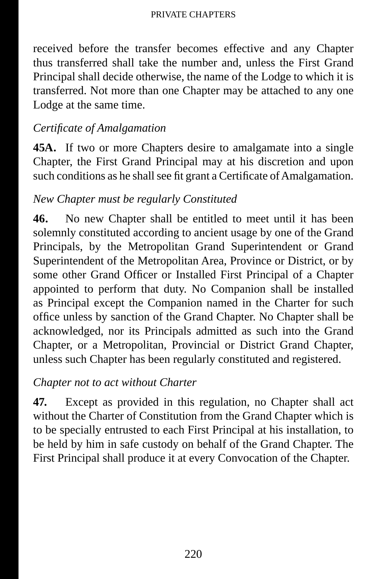received before the transfer becomes effective and any Chapter thus transferred shall take the number and, unless the First Grand Principal shall decide otherwise, the name of the Lodge to which it is transferred. Not more than one Chapter may be attached to any one Lodge at the same time.

# *Certifi cate of Amalgamation*

**45A.** If two or more Chapters desire to amalgamate into a single Chapter, the First Grand Principal may at his discretion and upon such conditions as he shall see fit grant a Certificate of Amalgamation.

# *New Chapter must be regularly Constituted*

**46.** No new Chapter shall be entitled to meet until it has been solemnly constituted according to ancient usage by one of the Grand Principals, by the Metropolitan Grand Superintendent or Grand Superintendent of the Metropolitan Area, Province or District, or by some other Grand Officer or Installed First Principal of a Chapter appointed to perform that duty. No Companion shall be installed as Principal except the Companion named in the Charter for such office unless by sanction of the Grand Chapter. No Chapter shall be acknowledged, nor its Principals admitted as such into the Grand Chapter, or a Metropolitan, Provincial or District Grand Chapter, unless such Chapter has been regularly constituted and registered.

# *Chapter not to act without Charter*

**47.** Except as provided in this regulation, no Chapter shall act without the Charter of Constitution from the Grand Chapter which is to be specially entrusted to each First Principal at his installation, to be held by him in safe custody on behalf of the Grand Chapter. The First Principal shall produce it at every Convocation of the Chapter.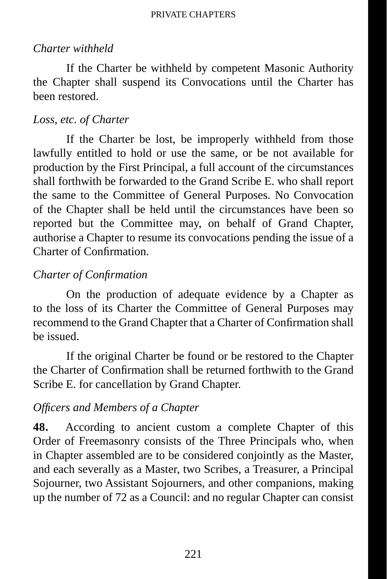#### *Charter withheld*

If the Charter be withheld by competent Masonic Authority the Chapter shall suspend its Convocations until the Charter has been restored.

#### *Loss, etc. of Charter*

If the Charter be lost, be improperly withheld from those lawfully entitled to hold or use the same, or be not available for production by the First Principal, a full account of the circumstances shall forthwith be forwarded to the Grand Scribe E. who shall report the same to the Committee of General Purposes. No Convocation of the Chapter shall be held until the circumstances have been so reported but the Committee may, on behalf of Grand Chapter, authorise a Chapter to resume its convocations pending the issue of a Charter of Confirmation.

#### *Charter of Confi rmation*

On the production of adequate evidence by a Chapter as to the loss of its Charter the Committee of General Purposes may recommend to the Grand Chapter that a Charter of Confirmation shall be issued.

If the original Charter be found or be restored to the Chapter the Charter of Confirmation shall be returned forthwith to the Grand Scribe E. for cancellation by Grand Chapter.

#### *Offi cers and Members of a Chapter*

**48.** According to ancient custom a complete Chapter of this Order of Freemasonry consists of the Three Principals who, when in Chapter assembled are to be considered conjointly as the Master, and each severally as a Master, two Scribes, a Treasurer, a Principal Sojourner, two Assistant Sojourners, and other companions, making up the number of 72 as a Council: and no regular Chapter can consist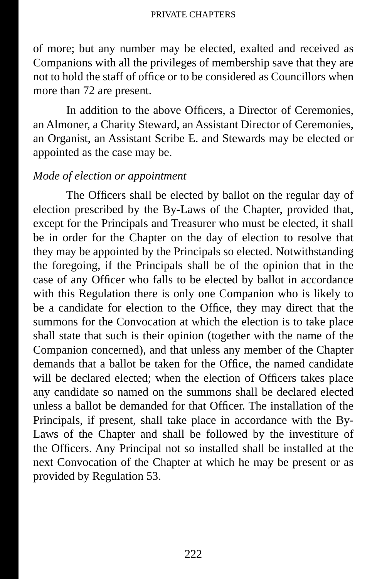of more; but any number may be elected, exalted and received as Companions with all the privileges of membership save that they are not to hold the staff of office or to be considered as Councillors when more than 72 are present.

In addition to the above Officers, a Director of Ceremonies, an Almoner, a Charity Steward, an Assistant Director of Ceremonies, an Organist, an Assistant Scribe E. and Stewards may be elected or appointed as the case may be.

#### *Mode of election or appointment*

The Officers shall be elected by ballot on the regular day of election prescribed by the By-Laws of the Chapter, provided that, except for the Principals and Treasurer who must be elected, it shall be in order for the Chapter on the day of election to resolve that they may be appointed by the Principals so elected. Notwithstanding the foregoing, if the Principals shall be of the opinion that in the case of any Officer who falls to be elected by ballot in accordance with this Regulation there is only one Companion who is likely to be a candidate for election to the Office, they may direct that the summons for the Convocation at which the election is to take place shall state that such is their opinion (together with the name of the Companion concerned), and that unless any member of the Chapter demands that a ballot be taken for the Office, the named candidate will be declared elected; when the election of Officers takes place any candidate so named on the summons shall be declared elected unless a ballot be demanded for that Officer. The installation of the Principals, if present, shall take place in accordance with the By-Laws of the Chapter and shall be followed by the investiture of the Officers. Any Principal not so installed shall be installed at the next Convocation of the Chapter at which he may be present or as provided by Regulation 53.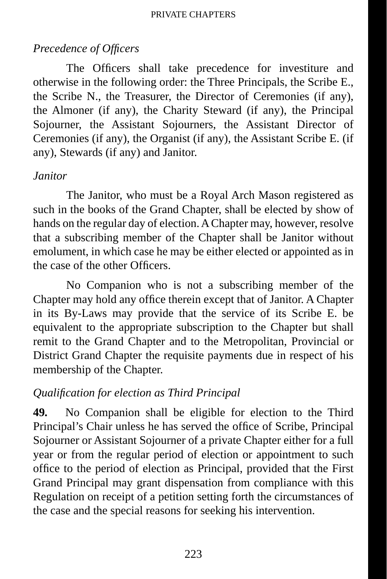# *Precedence of Offi cers*

The Officers shall take precedence for investiture and otherwise in the following order: the Three Principals, the Scribe E., the Scribe N., the Treasurer, the Director of Ceremonies (if any), the Almoner (if any), the Charity Steward (if any), the Principal Sojourner, the Assistant Sojourners, the Assistant Director of Ceremonies (if any), the Organist (if any), the Assistant Scribe E. (if any), Stewards (if any) and Janitor.

### *Janitor*

The Janitor, who must be a Royal Arch Mason registered as such in the books of the Grand Chapter, shall be elected by show of hands on the regular day of election. A Chapter may, however, resolve that a subscribing member of the Chapter shall be Janitor without emolument, in which case he may be either elected or appointed as in the case of the other Officers.

No Companion who is not a subscribing member of the Chapter may hold any office therein except that of Janitor. A Chapter in its By-Laws may provide that the service of its Scribe E. be equivalent to the appropriate subscription to the Chapter but shall remit to the Grand Chapter and to the Metropolitan, Provincial or District Grand Chapter the requisite payments due in respect of his membership of the Chapter.

### *Qualifi cation for election as Third Principal*

**49.** No Companion shall be eligible for election to the Third Principal's Chair unless he has served the office of Scribe, Principal Sojourner or Assistant Sojourner of a private Chapter either for a full year or from the regular period of election or appointment to such office to the period of election as Principal, provided that the First Grand Principal may grant dispensation from compliance with this Regulation on receipt of a petition setting forth the circumstances of the case and the special reasons for seeking his intervention.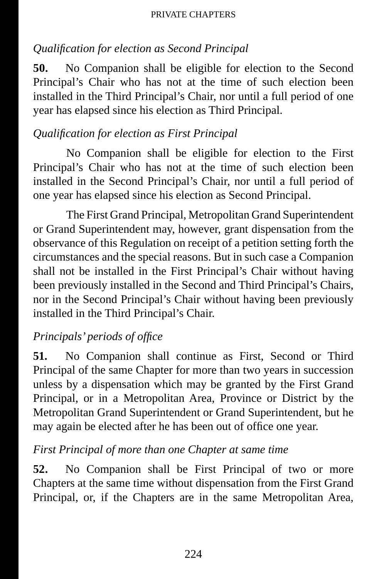# *Qualifi cation for election as Second Principal*

**50.** No Companion shall be eligible for election to the Second Principal's Chair who has not at the time of such election been installed in the Third Principal's Chair, nor until a full period of one year has elapsed since his election as Third Principal.

# *Qualifi cation for election as First Principal*

No Companion shall be eligible for election to the First Principal's Chair who has not at the time of such election been installed in the Second Principal's Chair, nor until a full period of one year has elapsed since his election as Second Principal.

The First Grand Principal, Metropolitan Grand Superintendent or Grand Superintendent may, however, grant dispensation from the observance of this Regulation on receipt of a petition setting forth the circumstances and the special reasons. But in such case a Companion shall not be installed in the First Principal's Chair without having been previously installed in the Second and Third Principal's Chairs, nor in the Second Principal's Chair without having been previously installed in the Third Principal's Chair.

# *Principals' periods of office*

**51.** No Companion shall continue as First, Second or Third Principal of the same Chapter for more than two years in succession unless by a dispensation which may be granted by the First Grand Principal, or in a Metropolitan Area, Province or District by the Metropolitan Grand Superintendent or Grand Superintendent, but he may again be elected after he has been out of office one year.

### *First Principal of more than one Chapter at same time*

**52.** No Companion shall be First Principal of two or more Chapters at the same time without dispensation from the First Grand Principal, or, if the Chapters are in the same Metropolitan Area,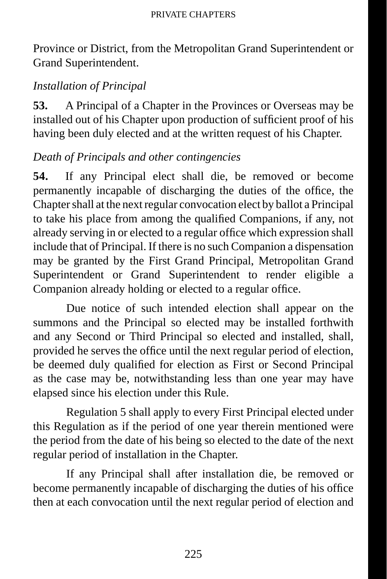Province or District, from the Metropolitan Grand Superintendent or Grand Superintendent.

# *Installation of Principal*

**53.** A Principal of a Chapter in the Provinces or Overseas may be installed out of his Chapter upon production of sufficient proof of his having been duly elected and at the written request of his Chapter.

# *Death of Principals and other contingencies*

**54.** If any Principal elect shall die, be removed or become permanently incapable of discharging the duties of the office, the Chapter shall at the next regular convocation elect by ballot a Principal to take his place from among the qualified Companions, if any, not already serving in or elected to a regular office which expression shall include that of Principal. If there is no such Companion a dispensation may be granted by the First Grand Principal, Metropolitan Grand Superintendent or Grand Superintendent to render eligible a Companion already holding or elected to a regular office.

Due notice of such intended election shall appear on the summons and the Principal so elected may be installed forthwith and any Second or Third Principal so elected and installed, shall, provided he serves the office until the next regular period of election, be deemed duly qualified for election as First or Second Principal as the case may be, notwithstanding less than one year may have elapsed since his election under this Rule.

Regulation 5 shall apply to every First Principal elected under this Regulation as if the period of one year therein mentioned were the period from the date of his being so elected to the date of the next regular period of installation in the Chapter.

If any Principal shall after installation die, be removed or become permanently incapable of discharging the duties of his office then at each convocation until the next regular period of election and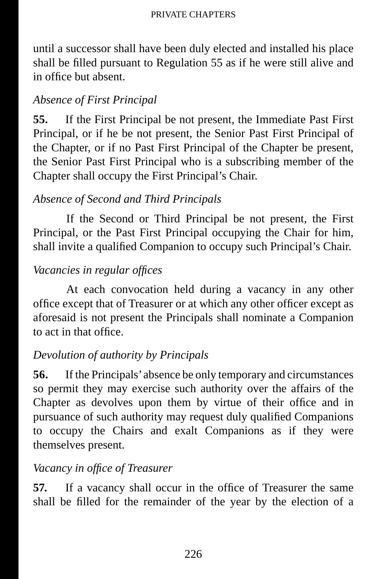until a successor shall have been duly elected and installed his place shall be filled pursuant to Regulation 55 as if he were still alive and in office but absent.

# *Absence of First Principal*

**55.** If the First Principal be not present, the Immediate Past First Principal, or if he be not present, the Senior Past First Principal of the Chapter, or if no Past First Principal of the Chapter be present, the Senior Past First Principal who is a subscribing member of the Chapter shall occupy the First Principal's Chair.

# *Absence of Second and Third Principals*

If the Second or Third Principal be not present, the First Principal, or the Past First Principal occupying the Chair for him, shall invite a qualified Companion to occupy such Principal's Chair.

# *Vacancies in regular offices*

At each convocation held during a vacancy in any other office except that of Treasurer or at which any other officer except as aforesaid is not present the Principals shall nominate a Companion to act in that office.

# *Devolution of authority by Principals*

**56.** If the Principals' absence be only temporary and circumstances so permit they may exercise such authority over the affairs of the Chapter as devolves upon them by virtue of their office and in pursuance of such authority may request duly qualified Companions to occupy the Chairs and exalt Companions as if they were themselves present.

# *Vacancy in offi ce of Treasurer*

**57.** If a vacancy shall occur in the office of Treasurer the same shall be filled for the remainder of the year by the election of a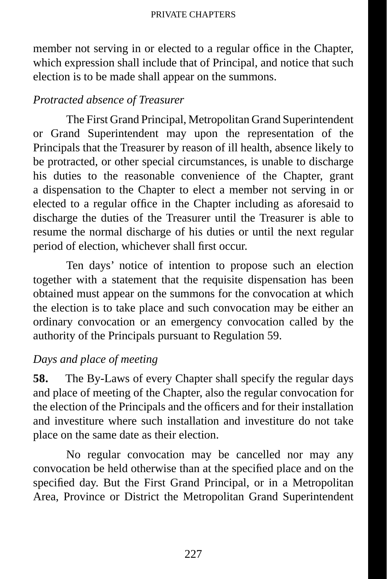member not serving in or elected to a regular office in the Chapter, which expression shall include that of Principal, and notice that such election is to be made shall appear on the summons.

### *Protracted absence of Treasurer*

The First Grand Principal, Metropolitan Grand Superintendent or Grand Superintendent may upon the representation of the Principals that the Treasurer by reason of ill health, absence likely to be protracted, or other special circumstances, is unable to discharge his duties to the reasonable convenience of the Chapter, grant a dispensation to the Chapter to elect a member not serving in or elected to a regular office in the Chapter including as aforesaid to discharge the duties of the Treasurer until the Treasurer is able to resume the normal discharge of his duties or until the next regular period of election, whichever shall first occur.

Ten days' notice of intention to propose such an election together with a statement that the requisite dispensation has been obtained must appear on the summons for the convocation at which the election is to take place and such convocation may be either an ordinary convocation or an emergency convocation called by the authority of the Principals pursuant to Regulation 59.

### *Days and place of meeting*

**58.** The By-Laws of every Chapter shall specify the regular days and place of meeting of the Chapter, also the regular convocation for the election of the Principals and the officers and for their installation and investiture where such installation and investiture do not take place on the same date as their election.

No regular convocation may be cancelled nor may any convocation be held otherwise than at the specified place and on the specified day. But the First Grand Principal, or in a Metropolitan Area, Province or District the Metropolitan Grand Superintendent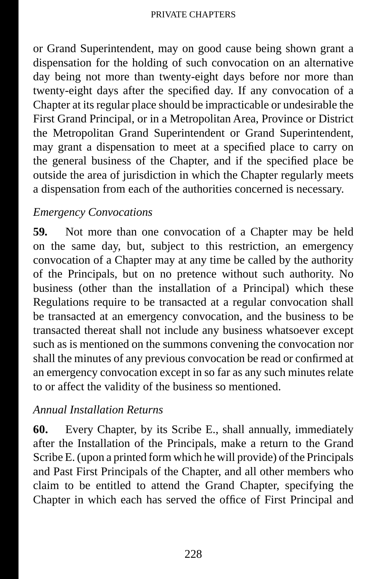or Grand Superintendent, may on good cause being shown grant a dispensation for the holding of such convocation on an alternative day being not more than twenty-eight days before nor more than twenty-eight days after the specified day. If any convocation of a Chapter at its regular place should be impracticable or undesirable the First Grand Principal, or in a Metropolitan Area, Province or District the Metropolitan Grand Superintendent or Grand Superintendent, may grant a dispensation to meet at a specified place to carry on the general business of the Chapter, and if the specified place be outside the area of jurisdiction in which the Chapter regularly meets a dispensation from each of the authorities concerned is necessary.

# *Emergency Convocations*

**59.** Not more than one convocation of a Chapter may be held on the same day, but, subject to this restriction, an emergency convocation of a Chapter may at any time be called by the authority of the Principals, but on no pretence without such authority. No business (other than the installation of a Principal) which these Regulations require to be transacted at a regular convocation shall be transacted at an emergency convocation, and the business to be transacted thereat shall not include any business whatsoever except such as is mentioned on the summons convening the convocation nor shall the minutes of any previous convocation be read or confirmed at an emergency convocation except in so far as any such minutes relate to or affect the validity of the business so mentioned.

### *Annual Installation Returns*

**60.** Every Chapter, by its Scribe E., shall annually, immediately after the Installation of the Principals, make a return to the Grand Scribe E. (upon a printed form which he will provide) of the Principals and Past First Principals of the Chapter, and all other members who claim to be entitled to attend the Grand Chapter, specifying the Chapter in which each has served the office of First Principal and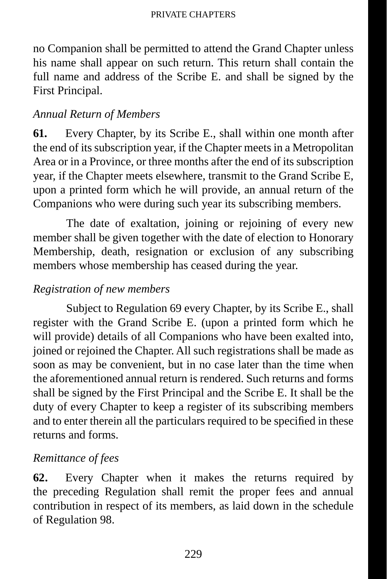no Companion shall be permitted to attend the Grand Chapter unless his name shall appear on such return. This return shall contain the full name and address of the Scribe E. and shall be signed by the First Principal.

## *Annual Return of Members*

**61.** Every Chapter, by its Scribe E., shall within one month after the end of its subscription year, if the Chapter meets in a Metropolitan Area or in a Province, or three months after the end of its subscription year, if the Chapter meets elsewhere, transmit to the Grand Scribe E, upon a printed form which he will provide, an annual return of the Companions who were during such year its subscribing members.

The date of exaltation, joining or rejoining of every new member shall be given together with the date of election to Honorary Membership, death, resignation or exclusion of any subscribing members whose membership has ceased during the year.

### *Registration of new members*

Subject to Regulation 69 every Chapter, by its Scribe E., shall register with the Grand Scribe E. (upon a printed form which he will provide) details of all Companions who have been exalted into, joined or rejoined the Chapter. All such registrations shall be made as soon as may be convenient, but in no case later than the time when the aforementioned annual return is rendered. Such returns and forms shall be signed by the First Principal and the Scribe E. It shall be the duty of every Chapter to keep a register of its subscribing members and to enter therein all the particulars required to be specified in these returns and forms.

### *Remittance of fees*

**62.** Every Chapter when it makes the returns required by the preceding Regulation shall remit the proper fees and annual contribution in respect of its members, as laid down in the schedule of Regulation 98.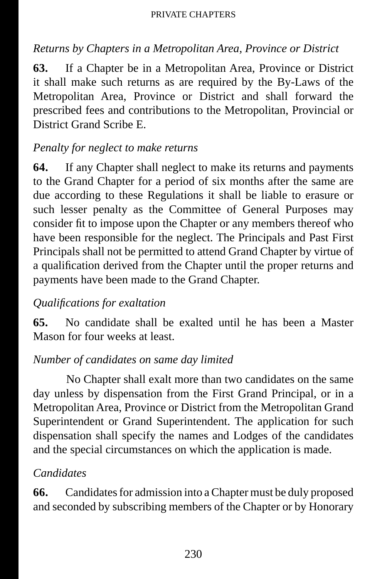## *Returns by Chapters in a Metropolitan Area, Province or District*

**63.** If a Chapter be in a Metropolitan Area, Province or District it shall make such returns as are required by the By-Laws of the Metropolitan Area, Province or District and shall forward the prescribed fees and contributions to the Metropolitan, Provincial or District Grand Scribe E.

# *Penalty for neglect to make returns*

**64.** If any Chapter shall neglect to make its returns and payments to the Grand Chapter for a period of six months after the same are due according to these Regulations it shall be liable to erasure or such lesser penalty as the Committee of General Purposes may consider fit to impose upon the Chapter or any members thereof who have been responsible for the neglect. The Principals and Past First Principals shall not be permitted to attend Grand Chapter by virtue of a qualification derived from the Chapter until the proper returns and payments have been made to the Grand Chapter.

# *Qualifi cations for exaltation*

**65.** No candidate shall be exalted until he has been a Master Mason for four weeks at least.

# *Number of candidates on same day limited*

No Chapter shall exalt more than two candidates on the same day unless by dispensation from the First Grand Principal, or in a Metropolitan Area, Province or District from the Metropolitan Grand Superintendent or Grand Superintendent. The application for such dispensation shall specify the names and Lodges of the candidates and the special circumstances on which the application is made.

### *Candidates*

**66.** Candidates for admission into a Chapter must be duly proposed and seconded by subscribing members of the Chapter or by Honorary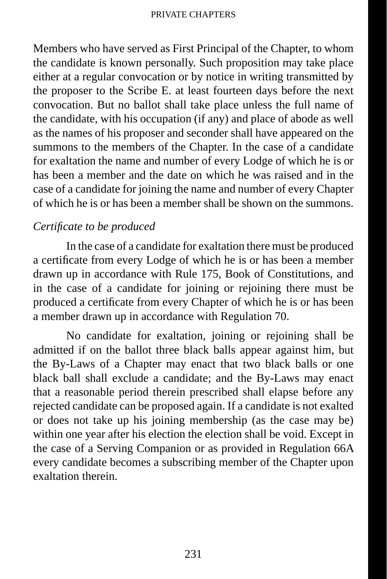Members who have served as First Principal of the Chapter, to whom the candidate is known personally. Such proposition may take place either at a regular convocation or by notice in writing transmitted by the proposer to the Scribe E. at least fourteen days before the next convocation. But no ballot shall take place unless the full name of the candidate, with his occupation (if any) and place of abode as well as the names of his proposer and seconder shall have appeared on the summons to the members of the Chapter. In the case of a candidate for exaltation the name and number of every Lodge of which he is or has been a member and the date on which he was raised and in the case of a candidate for joining the name and number of every Chapter of which he is or has been a member shall be shown on the summons.

### *Certifi cate to be produced*

In the case of a candidate for exaltation there must be produced a certificate from every Lodge of which he is or has been a member drawn up in accordance with Rule 175, Book of Constitutions, and in the case of a candidate for joining or rejoining there must be produced a certificate from every Chapter of which he is or has been a member drawn up in accordance with Regulation 70.

No candidate for exaltation, joining or rejoining shall be admitted if on the ballot three black balls appear against him, but the By-Laws of a Chapter may enact that two black balls or one black ball shall exclude a candidate; and the By-Laws may enact that a reasonable period therein prescribed shall elapse before any rejected candidate can be proposed again. If a candidate is not exalted or does not take up his joining membership (as the case may be) within one year after his election the election shall be void. Except in the case of a Serving Companion or as provided in Regulation 66A every candidate becomes a subscribing member of the Chapter upon exaltation therein.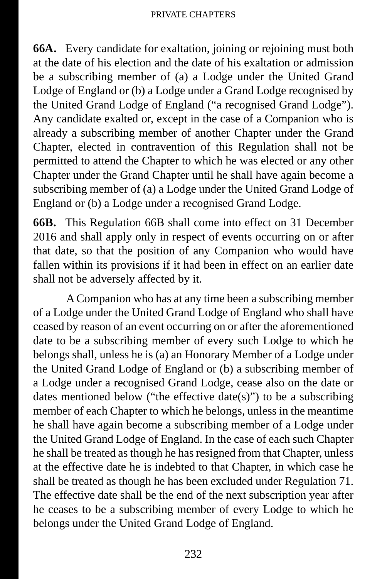**66A.** Every candidate for exaltation, joining or rejoining must both at the date of his election and the date of his exaltation or admission be a subscribing member of (a) a Lodge under the United Grand Lodge of England or (b) a Lodge under a Grand Lodge recognised by the United Grand Lodge of England ("a recognised Grand Lodge"). Any candidate exalted or, except in the case of a Companion who is already a subscribing member of another Chapter under the Grand Chapter, elected in contravention of this Regulation shall not be permitted to attend the Chapter to which he was elected or any other Chapter under the Grand Chapter until he shall have again become a subscribing member of (a) a Lodge under the United Grand Lodge of England or (b) a Lodge under a recognised Grand Lodge.

**66B.** This Regulation 66B shall come into effect on 31 December 2016 and shall apply only in respect of events occurring on or after that date, so that the position of any Companion who would have fallen within its provisions if it had been in effect on an earlier date shall not be adversely affected by it.

A Companion who has at any time been a subscribing member of a Lodge under the United Grand Lodge of England who shall have ceased by reason of an event occurring on or after the aforementioned date to be a subscribing member of every such Lodge to which he belongs shall, unless he is (a) an Honorary Member of a Lodge under the United Grand Lodge of England or (b) a subscribing member of a Lodge under a recognised Grand Lodge, cease also on the date or dates mentioned below ("the effective date(s)") to be a subscribing member of each Chapter to which he belongs, unless in the meantime he shall have again become a subscribing member of a Lodge under the United Grand Lodge of England. In the case of each such Chapter he shall be treated as though he has resigned from that Chapter, unless at the effective date he is indebted to that Chapter, in which case he shall be treated as though he has been excluded under Regulation 71. The effective date shall be the end of the next subscription year after he ceases to be a subscribing member of every Lodge to which he belongs under the United Grand Lodge of England.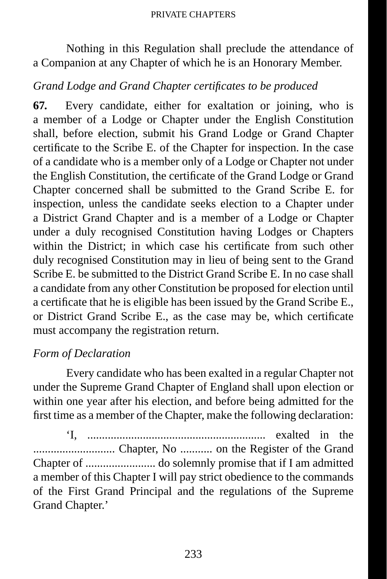Nothing in this Regulation shall preclude the attendance of a Companion at any Chapter of which he is an Honorary Member.

#### *Grand Lodge and Grand Chapter certifi cates to be produced*

**67.** Every candidate, either for exaltation or joining, who is a member of a Lodge or Chapter under the English Constitution shall, before election, submit his Grand Lodge or Grand Chapter certificate to the Scribe E. of the Chapter for inspection. In the case of a candidate who is a member only of a Lodge or Chapter not under the English Constitution, the certificate of the Grand Lodge or Grand Chapter concerned shall be submitted to the Grand Scribe E. for inspection, unless the candidate seeks election to a Chapter under a District Grand Chapter and is a member of a Lodge or Chapter under a duly recognised Constitution having Lodges or Chapters within the District: in which case his certificate from such other duly recognised Constitution may in lieu of being sent to the Grand Scribe E. be submitted to the District Grand Scribe E. In no case shall a candidate from any other Constitution be proposed for election until a certificate that he is eligible has been issued by the Grand Scribe E. or District Grand Scribe E., as the case may be, which certificate must accompany the registration return.

#### *Form of Declaration*

Every candidate who has been exalted in a regular Chapter not under the Supreme Grand Chapter of England shall upon election or within one year after his election, and before being admitted for the first time as a member of the Chapter, make the following declaration:

'I, ............................................................. exalted in the ............................ Chapter, No ........... on the Register of the Grand Chapter of ........................ do solemnly promise that if I am admitted a member of this Chapter I will pay strict obedience to the commands of the First Grand Principal and the regulations of the Supreme Grand Chapter.'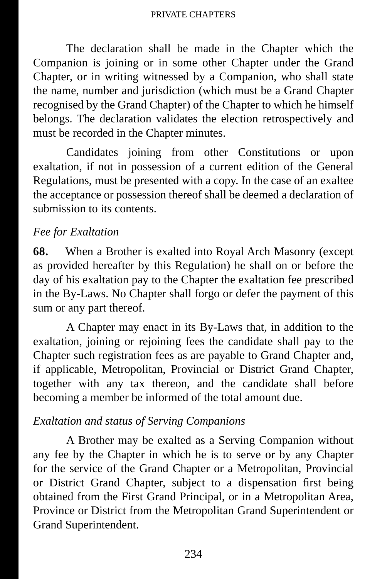The declaration shall be made in the Chapter which the Companion is joining or in some other Chapter under the Grand Chapter, or in writing witnessed by a Companion, who shall state the name, number and jurisdiction (which must be a Grand Chapter recognised by the Grand Chapter) of the Chapter to which he himself belongs. The declaration validates the election retrospectively and must be recorded in the Chapter minutes.

Candidates joining from other Constitutions or upon exaltation, if not in possession of a current edition of the General Regulations, must be presented with a copy. In the case of an exaltee the acceptance or possession thereof shall be deemed a declaration of submission to its contents.

#### *Fee for Exaltation*

**68.** When a Brother is exalted into Royal Arch Masonry (except as provided hereafter by this Regulation) he shall on or before the day of his exaltation pay to the Chapter the exaltation fee prescribed in the By-Laws. No Chapter shall forgo or defer the payment of this sum or any part thereof.

A Chapter may enact in its By-Laws that, in addition to the exaltation, joining or rejoining fees the candidate shall pay to the Chapter such registration fees as are payable to Grand Chapter and, if applicable, Metropolitan, Provincial or District Grand Chapter, together with any tax thereon, and the candidate shall before becoming a member be informed of the total amount due.

#### *Exaltation and status of Serving Companions*

A Brother may be exalted as a Serving Companion without any fee by the Chapter in which he is to serve or by any Chapter for the service of the Grand Chapter or a Metropolitan, Provincial or District Grand Chapter, subject to a dispensation first being obtained from the First Grand Principal, or in a Metropolitan Area, Province or District from the Metropolitan Grand Superintendent or Grand Superintendent.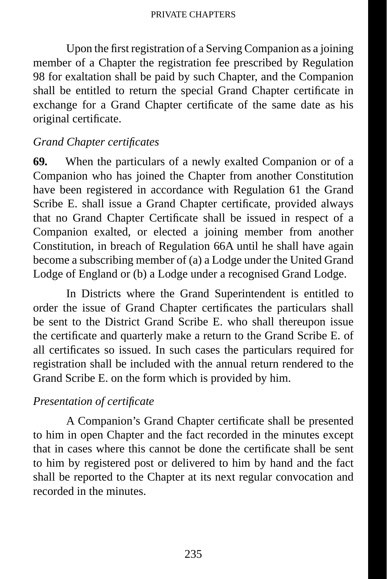Upon the first registration of a Serving Companion as a joining member of a Chapter the registration fee prescribed by Regulation 98 for exaltation shall be paid by such Chapter, and the Companion shall be entitled to return the special Grand Chapter certificate in exchange for a Grand Chapter certificate of the same date as his original certificate.

#### *Grand Chapter certifi cates*

**69.** When the particulars of a newly exalted Companion or of a Companion who has joined the Chapter from another Constitution have been registered in accordance with Regulation 61 the Grand Scribe E. shall issue a Grand Chapter certificate, provided always that no Grand Chapter Certificate shall be issued in respect of a Companion exalted, or elected a joining member from another Constitution, in breach of Regulation 66A until he shall have again become a subscribing member of (a) a Lodge under the United Grand Lodge of England or (b) a Lodge under a recognised Grand Lodge.

In Districts where the Grand Superintendent is entitled to order the issue of Grand Chapter certificates the particulars shall be sent to the District Grand Scribe E. who shall thereupon issue the certificate and quarterly make a return to the Grand Scribe E. of all certificates so issued. In such cases the particulars required for registration shall be included with the annual return rendered to the Grand Scribe E. on the form which is provided by him.

#### *Presentation of certifi cate*

A Companion's Grand Chapter certificate shall be presented to him in open Chapter and the fact recorded in the minutes except that in cases where this cannot be done the certificate shall be sent to him by registered post or delivered to him by hand and the fact shall be reported to the Chapter at its next regular convocation and recorded in the minutes.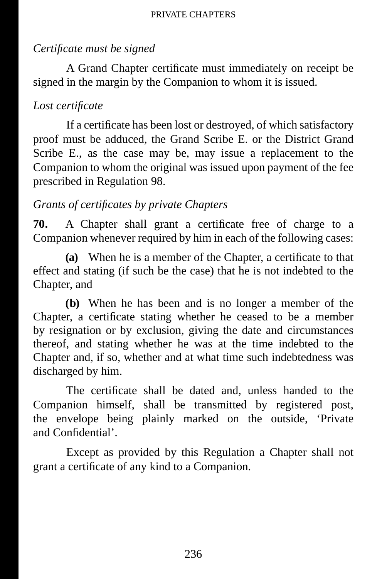# *Certifi cate must be signed*

A Grand Chapter certificate must immediately on receipt be signed in the margin by the Companion to whom it is issued.

## *Lost certifi cate*

If a certificate has been lost or destroyed, of which satisfactory proof must be adduced, the Grand Scribe E. or the District Grand Scribe E., as the case may be, may issue a replacement to the Companion to whom the original was issued upon payment of the fee prescribed in Regulation 98.

# *Grants of certifi cates by private Chapters*

**70.** A Chapter shall grant a certificate free of charge to a Companion whenever required by him in each of the following cases:

**(a)** When he is a member of the Chapter, a certificate to that effect and stating (if such be the case) that he is not indebted to the Chapter, and

**(b)** When he has been and is no longer a member of the Chapter, a certificate stating whether he ceased to be a member by resignation or by exclusion, giving the date and circumstances thereof, and stating whether he was at the time indebted to the Chapter and, if so, whether and at what time such indebtedness was discharged by him.

The certificate shall be dated and, unless handed to the Companion himself, shall be transmitted by registered post, the envelope being plainly marked on the outside, 'Private and Confidential'.

Except as provided by this Regulation a Chapter shall not grant a certificate of any kind to a Companion.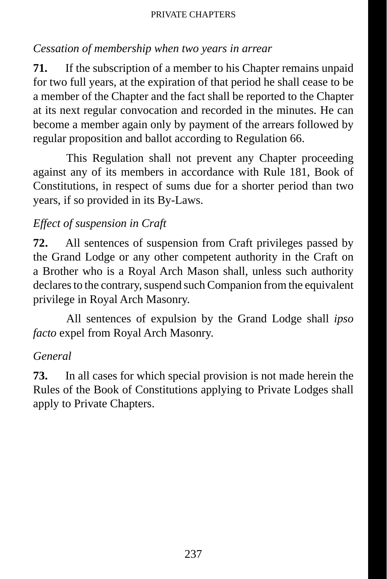# *Cessation of membership when two years in arrear*

**71.** If the subscription of a member to his Chapter remains unpaid for two full years, at the expiration of that period he shall cease to be a member of the Chapter and the fact shall be reported to the Chapter at its next regular convocation and recorded in the minutes. He can become a member again only by payment of the arrears followed by regular proposition and ballot according to Regulation 66.

This Regulation shall not prevent any Chapter proceeding against any of its members in accordance with Rule 181, Book of Constitutions, in respect of sums due for a shorter period than two years, if so provided in its By-Laws.

# *Effect of suspension in Craft*

**72.** All sentences of suspension from Craft privileges passed by the Grand Lodge or any other competent authority in the Craft on a Brother who is a Royal Arch Mason shall, unless such authority declares to the contrary, suspend such Companion from the equivalent privilege in Royal Arch Masonry.

All sentences of expulsion by the Grand Lodge shall *ipso facto* expel from Royal Arch Masonry.

### *General*

**73.** In all cases for which special provision is not made herein the Rules of the Book of Constitutions applying to Private Lodges shall apply to Private Chapters.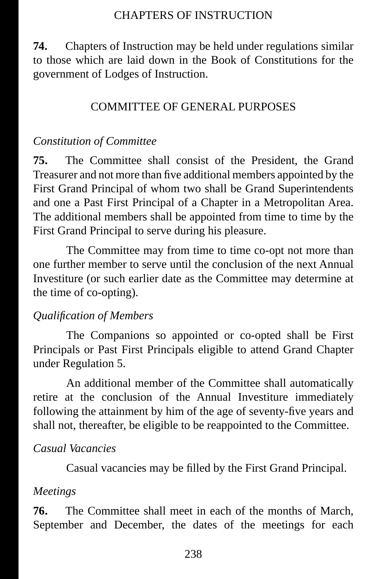#### CHAPTERS OF INSTRUCTION

**74.** Chapters of Instruction may be held under regulations similar to those which are laid down in the Book of Constitutions for the government of Lodges of Instruction.

#### COMMITTEE OF GENERAL PURPOSES

#### *Constitution of Committee*

**75.** The Committee shall consist of the President, the Grand Treasurer and not more than five additional members appointed by the First Grand Principal of whom two shall be Grand Superintendents and one a Past First Principal of a Chapter in a Metropolitan Area. The additional members shall be appointed from time to time by the First Grand Principal to serve during his pleasure.

The Committee may from time to time co-opt not more than one further member to serve until the conclusion of the next Annual Investiture (or such earlier date as the Committee may determine at the time of co-opting).

#### *Qualifi cation of Members*

The Companions so appointed or co-opted shall be First Principals or Past First Principals eligible to attend Grand Chapter under Regulation 5.

An additional member of the Committee shall automatically retire at the conclusion of the Annual Investiture immediately following the attainment by him of the age of seventy-five years and shall not, thereafter, be eligible to be reappointed to the Committee.

#### *Casual Vacancies*

Casual vacancies may be filled by the First Grand Principal.

#### *Meetings*

**76.** The Committee shall meet in each of the months of March, September and December, the dates of the meetings for each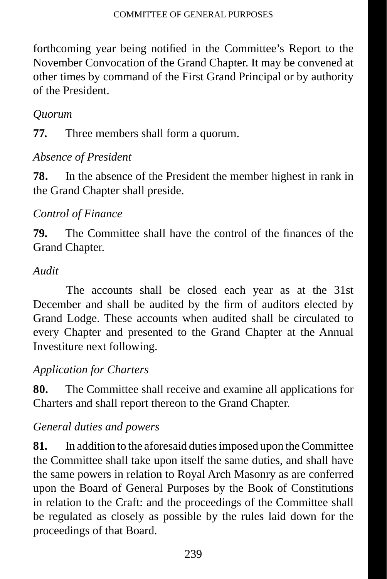forthcoming year being notified in the Committee's Report to the November Convocation of the Grand Chapter. It may be convened at other times by command of the First Grand Principal or by authority of the President.

# *Quorum*

**77.** Three members shall form a quorum.

# *Absence of President*

**78.** In the absence of the President the member highest in rank in the Grand Chapter shall preside.

# *Control of Finance*

**79.** The Committee shall have the control of the finances of the Grand Chapter.

### *Audit*

The accounts shall be closed each year as at the 31st December and shall be audited by the firm of auditors elected by Grand Lodge. These accounts when audited shall be circulated to every Chapter and presented to the Grand Chapter at the Annual Investiture next following.

### *Application for Charters*

**80.** The Committee shall receive and examine all applications for Charters and shall report thereon to the Grand Chapter.

### *General duties and powers*

**81.** In addition to the aforesaid duties imposed upon the Committee the Committee shall take upon itself the same duties, and shall have the same powers in relation to Royal Arch Masonry as are conferred upon the Board of General Purposes by the Book of Constitutions in relation to the Craft: and the proceedings of the Committee shall be regulated as closely as possible by the rules laid down for the proceedings of that Board.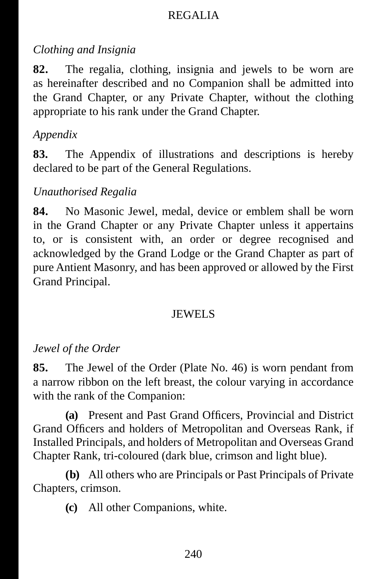### REGALIA

# *Clothing and Insignia*

**82.** The regalia, clothing, insignia and jewels to be worn are as hereinafter described and no Companion shall be admitted into the Grand Chapter, or any Private Chapter, without the clothing appropriate to his rank under the Grand Chapter.

# *Appendix*

**83.** The Appendix of illustrations and descriptions is hereby declared to be part of the General Regulations.

# *Unauthorised Regalia*

**84.** No Masonic Jewel, medal, device or emblem shall be worn in the Grand Chapter or any Private Chapter unless it appertains to, or is consistent with, an order or degree recognised and acknowledged by the Grand Lodge or the Grand Chapter as part of pure Antient Masonry, and has been approved or allowed by the First Grand Principal.

### JEWELS

# *Jewel of the Order*

**85.** The Jewel of the Order (Plate No. 46) is worn pendant from a narrow ribbon on the left breast, the colour varying in accordance with the rank of the Companion:

**(a)** Present and Past Grand Officers, Provincial and District Grand Officers and holders of Metropolitan and Overseas Rank, if Installed Principals, and holders of Metropolitan and Overseas Grand Chapter Rank, tri-coloured (dark blue, crimson and light blue).

**(b)** All others who are Principals or Past Principals of Private Chapters, crimson.

**(c)** All other Companions, white.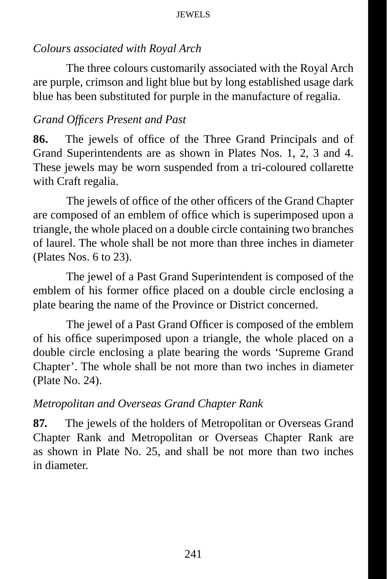## *Colours associated with Royal Arch*

The three colours customarily associated with the Royal Arch are purple, crimson and light blue but by long established usage dark blue has been substituted for purple in the manufacture of regalia.

# *Grand Offi cers Present and Past*

**86.** The jewels of office of the Three Grand Principals and of Grand Superintendents are as shown in Plates Nos. 1, 2, 3 and 4. These jewels may be worn suspended from a tri-coloured collarette with Craft regalia.

The jewels of office of the other officers of the Grand Chapter are composed of an emblem of office which is superimposed upon a triangle, the whole placed on a double circle containing two branches of laurel. The whole shall be not more than three inches in diameter (Plates Nos. 6 to 23).

The jewel of a Past Grand Superintendent is composed of the emblem of his former office placed on a double circle enclosing a plate bearing the name of the Province or District concerned.

The jewel of a Past Grand Officer is composed of the emblem of his office superimposed upon a triangle, the whole placed on a double circle enclosing a plate bearing the words 'Supreme Grand Chapter'. The whole shall be not more than two inches in diameter (Plate No. 24).

### *Metropolitan and Overseas Grand Chapter Rank*

**87.** The jewels of the holders of Metropolitan or Overseas Grand Chapter Rank and Metropolitan or Overseas Chapter Rank are as shown in Plate No. 25, and shall be not more than two inches in diameter.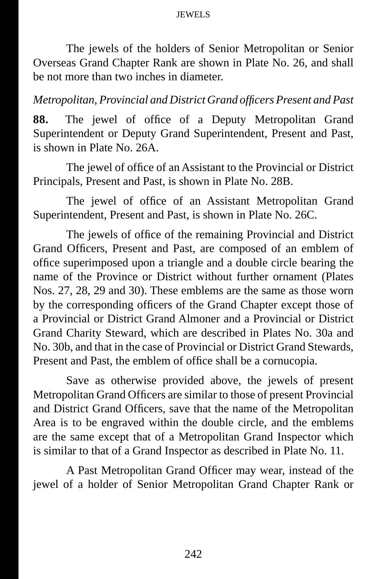The jewels of the holders of Senior Metropolitan or Senior Overseas Grand Chapter Rank are shown in Plate No. 26, and shall be not more than two inches in diameter.

#### *Metropolitan, Provincial and District Grand offi cers Present and Past*

88. The jewel of office of a Deputy Metropolitan Grand Superintendent or Deputy Grand Superintendent, Present and Past, is shown in Plate No. 26A.

The jewel of office of an Assistant to the Provincial or District Principals, Present and Past, is shown in Plate No. 28B.

The jewel of office of an Assistant Metropolitan Grand Superintendent, Present and Past, is shown in Plate No. 26C.

The jewels of office of the remaining Provincial and District Grand Officers, Present and Past, are composed of an emblem of office superimposed upon a triangle and a double circle bearing the name of the Province or District without further ornament (Plates Nos. 27, 28, 29 and 30). These emblems are the same as those worn by the corresponding officers of the Grand Chapter except those of a Provincial or District Grand Almoner and a Provincial or District Grand Charity Steward, which are described in Plates No. 30a and No. 30b, and that in the case of Provincial or District Grand Stewards, Present and Past, the emblem of office shall be a cornucopia.

Save as otherwise provided above, the jewels of present Metropolitan Grand Officers are similar to those of present Provincial and District Grand Officers, save that the name of the Metropolitan Area is to be engraved within the double circle, and the emblems are the same except that of a Metropolitan Grand Inspector which is similar to that of a Grand Inspector as described in Plate No. 11.

A Past Metropolitan Grand Officer may wear, instead of the jewel of a holder of Senior Metropolitan Grand Chapter Rank or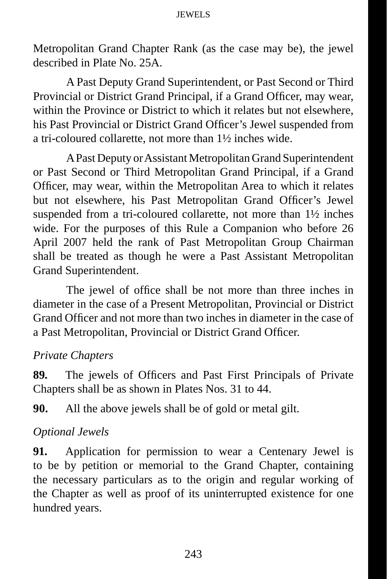Metropolitan Grand Chapter Rank (as the case may be), the jewel described in Plate No. 25A.

A Past Deputy Grand Superintendent, or Past Second or Third Provincial or District Grand Principal, if a Grand Officer, may wear, within the Province or District to which it relates but not elsewhere, his Past Provincial or District Grand Officer's Jewel suspended from a tri-coloured collarette, not more than 1½ inches wide.

A Past Deputy or Assistant Metropolitan Grand Superintendent or Past Second or Third Metropolitan Grand Principal, if a Grand Officer, may wear, within the Metropolitan Area to which it relates but not elsewhere, his Past Metropolitan Grand Officer's Jewel suspended from a tri-coloured collarette, not more than 1½ inches wide. For the purposes of this Rule a Companion who before 26 April 2007 held the rank of Past Metropolitan Group Chairman shall be treated as though he were a Past Assistant Metropolitan Grand Superintendent.

The jewel of office shall be not more than three inches in diameter in the case of a Present Metropolitan, Provincial or District Grand Officer and not more than two inches in diameter in the case of a Past Metropolitan, Provincial or District Grand Officer.

#### *Private Chapters*

**89.** The jewels of Officers and Past First Principals of Private Chapters shall be as shown in Plates Nos. 31 to 44.

**90.** All the above jewels shall be of gold or metal gilt.

#### *Optional Jewels*

**91.** Application for permission to wear a Centenary Jewel is to be by petition or memorial to the Grand Chapter, containing the necessary particulars as to the origin and regular working of the Chapter as well as proof of its uninterrupted existence for one hundred years.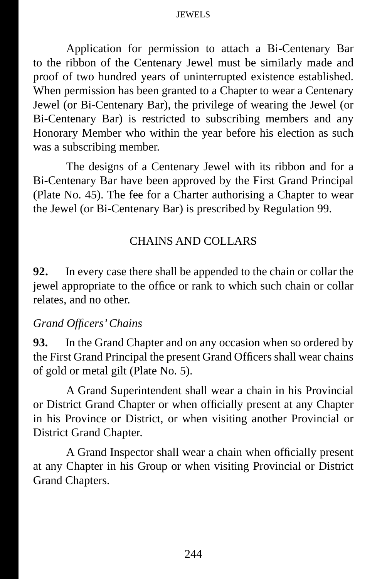Application for permission to attach a Bi-Centenary Bar to the ribbon of the Centenary Jewel must be similarly made and proof of two hundred years of uninterrupted existence established. When permission has been granted to a Chapter to wear a Centenary Jewel (or Bi-Centenary Bar), the privilege of wearing the Jewel (or Bi-Centenary Bar) is restricted to subscribing members and any Honorary Member who within the year before his election as such was a subscribing member.

The designs of a Centenary Jewel with its ribbon and for a Bi-Centenary Bar have been approved by the First Grand Principal (Plate No. 45). The fee for a Charter authorising a Chapter to wear the Jewel (or Bi-Centenary Bar) is prescribed by Regulation 99.

#### CHAINS AND COLLARS

**92.** In every case there shall be appended to the chain or collar the jewel appropriate to the office or rank to which such chain or collar relates, and no other.

#### *Grand Offi cers' Chains*

**93.** In the Grand Chapter and on any occasion when so ordered by the First Grand Principal the present Grand Officers shall wear chains of gold or metal gilt (Plate No. 5).

A Grand Superintendent shall wear a chain in his Provincial or District Grand Chapter or when officially present at any Chapter in his Province or District, or when visiting another Provincial or District Grand Chapter.

A Grand Inspector shall wear a chain when officially present at any Chapter in his Group or when visiting Provincial or District Grand Chapters.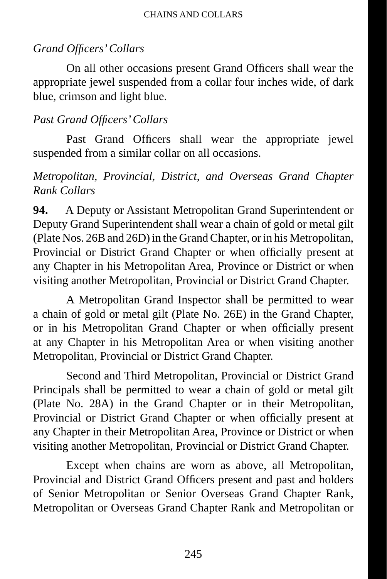# *Grand Offi cers' Collars*

On all other occasions present Grand Officers shall wear the appropriate jewel suspended from a collar four inches wide, of dark blue, crimson and light blue.

# *Past Grand Officers' Collars*

Past Grand Officers shall wear the appropriate jewel suspended from a similar collar on all occasions.

# *Metropolitan, Provincial, District, and Overseas Grand Chapter Rank Collars*

**94.** A Deputy or Assistant Metropolitan Grand Superintendent or Deputy Grand Superintendent shall wear a chain of gold or metal gilt (Plate Nos. 26B and 26D) in the Grand Chapter, or in his Metropolitan, Provincial or District Grand Chapter or when officially present at any Chapter in his Metropolitan Area, Province or District or when visiting another Metropolitan, Provincial or District Grand Chapter.

A Metropolitan Grand Inspector shall be permitted to wear a chain of gold or metal gilt (Plate No. 26E) in the Grand Chapter, or in his Metropolitan Grand Chapter or when officially present at any Chapter in his Metropolitan Area or when visiting another Metropolitan, Provincial or District Grand Chapter.

Second and Third Metropolitan, Provincial or District Grand Principals shall be permitted to wear a chain of gold or metal gilt (Plate No. 28A) in the Grand Chapter or in their Metropolitan, Provincial or District Grand Chapter or when officially present at any Chapter in their Metropolitan Area, Province or District or when visiting another Metropolitan, Provincial or District Grand Chapter.

Except when chains are worn as above, all Metropolitan, Provincial and District Grand Officers present and past and holders of Senior Metropolitan or Senior Overseas Grand Chapter Rank, Metropolitan or Overseas Grand Chapter Rank and Metropolitan or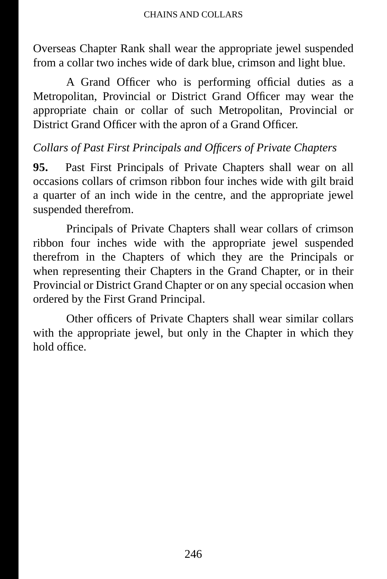#### CHAINS AND COLLARS

Overseas Chapter Rank shall wear the appropriate jewel suspended from a collar two inches wide of dark blue, crimson and light blue.

A Grand Officer who is performing official duties as a Metropolitan, Provincial or District Grand Officer may wear the appropriate chain or collar of such Metropolitan, Provincial or District Grand Officer with the apron of a Grand Officer.

### *Collars of Past First Principals and Offi cers of Private Chapters*

**95.** Past First Principals of Private Chapters shall wear on all occasions collars of crimson ribbon four inches wide with gilt braid a quarter of an inch wide in the centre, and the appropriate jewel suspended therefrom.

Principals of Private Chapters shall wear collars of crimson ribbon four inches wide with the appropriate jewel suspended therefrom in the Chapters of which they are the Principals or when representing their Chapters in the Grand Chapter, or in their Provincial or District Grand Chapter or on any special occasion when ordered by the First Grand Principal.

Other officers of Private Chapters shall wear similar collars with the appropriate jewel, but only in the Chapter in which they hold office.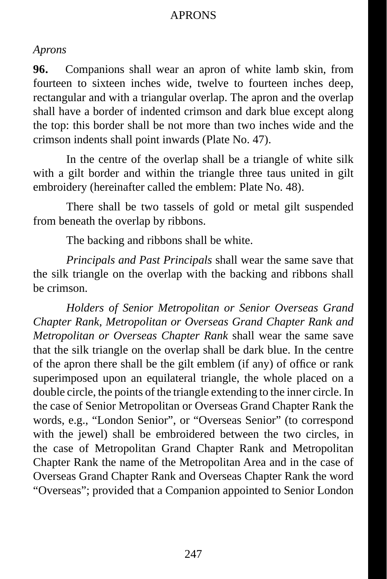#### APRONS

#### *Aprons*

**96.** Companions shall wear an apron of white lamb skin, from fourteen to sixteen inches wide, twelve to fourteen inches deep, rectangular and with a triangular overlap. The apron and the overlap shall have a border of indented crimson and dark blue except along the top: this border shall be not more than two inches wide and the crimson indents shall point inwards (Plate No. 47).

In the centre of the overlap shall be a triangle of white silk with a gilt border and within the triangle three taus united in gilt embroidery (hereinafter called the emblem: Plate No. 48).

There shall be two tassels of gold or metal gilt suspended from beneath the overlap by ribbons.

The backing and ribbons shall be white.

*Principals and Past Principals* shall wear the same save that the silk triangle on the overlap with the backing and ribbons shall be crimson.

*Holders of Senior Metropolitan or Senior Overseas Grand Chapter Rank, Metropolitan or Overseas Grand Chapter Rank and Metropolitan or Overseas Chapter Rank* shall wear the same save that the silk triangle on the overlap shall be dark blue. In the centre of the apron there shall be the gilt emblem (if any) of office or rank superimposed upon an equilateral triangle, the whole placed on a double circle, the points of the triangle extending to the inner circle. In the case of Senior Metropolitan or Overseas Grand Chapter Rank the words, e.g., "London Senior", or "Overseas Senior" (to correspond with the jewel) shall be embroidered between the two circles, in the case of Metropolitan Grand Chapter Rank and Metropolitan Chapter Rank the name of the Metropolitan Area and in the case of Overseas Grand Chapter Rank and Overseas Chapter Rank the word "Overseas"; provided that a Companion appointed to Senior London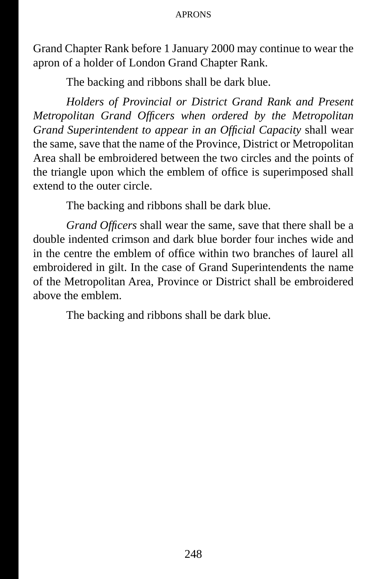#### APRONS

Grand Chapter Rank before 1 January 2000 may continue to wear the apron of a holder of London Grand Chapter Rank.

The backing and ribbons shall be dark blue.

*Holders of Provincial or District Grand Rank and Present Metropolitan Grand Officers when ordered by the Metropolitan Grand Superintendent to appear in an Official Capacity* shall wear the same, save that the name of the Province, District or Metropolitan Area shall be embroidered between the two circles and the points of the triangle upon which the emblem of office is superimposed shall extend to the outer circle.

The backing and ribbons shall be dark blue.

*Grand Officers* shall wear the same, save that there shall be a double indented crimson and dark blue border four inches wide and in the centre the emblem of office within two branches of laurel all embroidered in gilt. In the case of Grand Superintendents the name of the Metropolitan Area, Province or District shall be embroidered above the emblem.

The backing and ribbons shall be dark blue.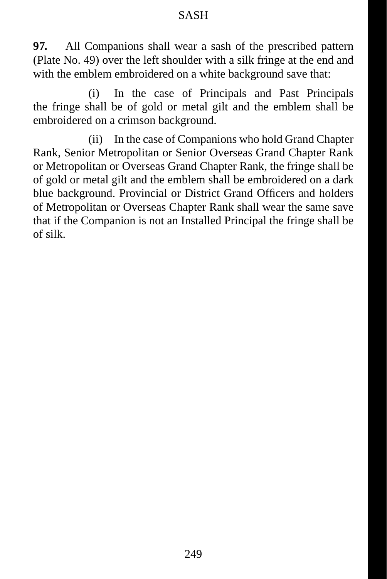**97.** All Companions shall wear a sash of the prescribed pattern (Plate No. 49) over the left shoulder with a silk fringe at the end and with the emblem embroidered on a white background save that:

(i) In the case of Principals and Past Principals the fringe shall be of gold or metal gilt and the emblem shall be embroidered on a crimson background.

(ii) In the case of Companions who hold Grand Chapter Rank, Senior Metropolitan or Senior Overseas Grand Chapter Rank or Metropolitan or Overseas Grand Chapter Rank, the fringe shall be of gold or metal gilt and the emblem shall be embroidered on a dark blue background. Provincial or District Grand Officers and holders of Metropolitan or Overseas Chapter Rank shall wear the same save that if the Companion is not an Installed Principal the fringe shall be of silk.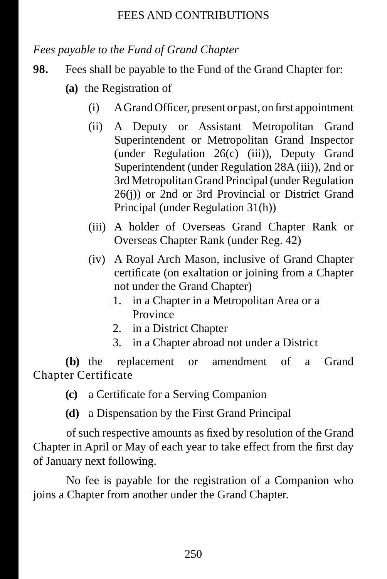#### FEES AND CONTRIBUTIONS

*Fees payable to the Fund of Grand Chapter*

- **98.** Fees shall be payable to the Fund of the Grand Chapter for:
	- **(a)** the Registration of
		- $(i)$  A Grand Officer, present or past, on first appointment
		- (ii) A Deputy or Assistant Metropolitan Grand Superintendent or Metropolitan Grand Inspector (under Regulation 26(c) (iii)), Deputy Grand Superintendent (under Regulation 28A (iii)), 2nd or 3rd Metropolitan Grand Principal (under Regulation 26(j)) or 2nd or 3rd Provincial or District Grand Principal (under Regulation 31(h))
		- (iii) A holder of Overseas Grand Chapter Rank or Overseas Chapter Rank (under Reg. 42)
		- (iv) A Royal Arch Mason, inclusive of Grand Chapter certificate (on exaltation or joining from a Chapter not under the Grand Chapter)
			- 1. in a Chapter in a Metropolitan Area or a Province
			- 2. in a District Chapter
			- 3. in a Chapter abroad not under a District

**(b)** the replacement or amendment of a Grand Chapter Certificate

- **(c)** a Certificate for a Serving Companion
- **(d)** a Dispensation by the First Grand Principal

of such respective amounts as fixed by resolution of the Grand Chapter in April or May of each year to take effect from the first day of January next following.

No fee is payable for the registration of a Companion who joins a Chapter from another under the Grand Chapter.